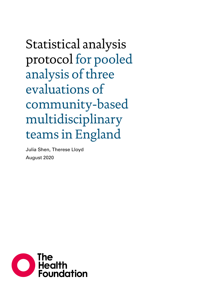Statistical analysis protocol for pooled analysis of three evaluations of community-based multidisciplinary teams in England

Julia Shen, Therese Lloyd August 2020

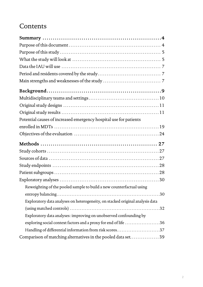# **Contents**

| Potential causes of increased emergency hospital use for patients             |  |
|-------------------------------------------------------------------------------|--|
|                                                                               |  |
|                                                                               |  |
|                                                                               |  |
|                                                                               |  |
|                                                                               |  |
|                                                                               |  |
|                                                                               |  |
|                                                                               |  |
|                                                                               |  |
| Reweighting of the pooled sample to build a new counterfactual using          |  |
|                                                                               |  |
| Exploratory data analyses on heterogeneity, on stacked original analysis data |  |
|                                                                               |  |
| Exploratory data analyses: improving on unobserved confounding by             |  |
| exploring social context factors and a proxy for end of life 36               |  |
| Handling of differential information from risk scores37                       |  |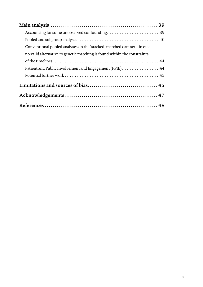| Conventional pooled analyses on the 'stacked' matched data set – in case |  |
|--------------------------------------------------------------------------|--|
| no valid alternative to genetic matching is found within the constraints |  |
|                                                                          |  |
| Patient and Public Involvement and Engagement (PPIE)44                   |  |
|                                                                          |  |
|                                                                          |  |
|                                                                          |  |
|                                                                          |  |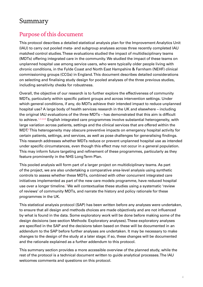# <span id="page-3-0"></span>Summary

### Purpose of this document

This protocol describes a detailed statistical analysis plan for the Improvement Analytics Unit (IAU) to carry out pooled meta- and subgroup analyses across three recently completed IAU matched control studies. These evaluations studied the impact of multidisciplinary teams (MDTs) offering integrated care in the community. We studied the impact of these teams on unplanned hospital use among service users, who were typically older people living with chronic conditions, in the Fylde Coast and North East Hampshire & Farnham (NEHF) clinical commissioning groups (CCGs) in England. This document describes detailed considerations on selecting and finalising study design for pooled analyses of the three previous studies, including sensitivity checks for robustness.

Overall, the objective of our research is to further explore the effectiveness of community MDTs, particularly within specific patient groups and across intervention settings. Under which general conditions, if any, do MDTs achieve their intended impact to reduce unplanned hospital use? A large body of health services research in the UK and elsewhere – including the original IAU evaluations of the three MDTs – has demonstrated that this aim is difficult to achieve.<sup>[1](#page-47-1)[,2,](#page-47-2)[3](#page-47-3)[,4](#page-47-4)[,5](#page-47-5)</sup> English integrated care programmes involve substantial heterogeneity, with large variation across patients, settings and the clinical services that are offered within the  $\mathsf{MDT}$ [6](#page-47-6)This heterogeneity may obscure preventive impacts on emergency hospital activity for certain patients, settings, and services, as well as pose challenges for generalising findings. This research addresses whether MDTs reduce or prevent unplanned hospital use as intended under specific circumstances, even though this effect may not occur in a general population. This may inform future targeting and refinement of these programmes, particularly as they feature prominently in the NHS Long Term Plan.

This pooled analysis will form part of a larger project on multidiciplinary teams. As part of the project, we are also undertaking a comparative area-level analysis using synthetic controls to assess whether these MDTs, combined with other concurrent integrated care initiatives implemented as part of the new care models programme, have reduced hospital use over a longer timeline.<sup>[7](#page-47-7)</sup> We will contextualise these studies using a systematic 'review of reviews' of community MDTs, and narrate the history and policy rationale for these programmes in the UK.

This statistical analysis protocol (SAP) has been written before any analyses were undertaken, to ensure that all design and methods choices are made objectively and are not influenced by what is found in the data. Some exploratory work will be done before making some of the design decisions (see section Methods: Exploratory analyses). These exploratory analyses are specified in the SAP and the decisions taken based on these will be documented in an addendum to the SAP before further analyses are undertaken. It may be necessary to make changes to the design of the study at a later stage; if so, these changes will be documented and the rationale explained as a further addendum to this protocol.

This summary section provides a more accessible overview of the planned study, while the rest of the protocol is a technical document written to guide analytical processes. The IAU welcomes comments and questions on this protocol.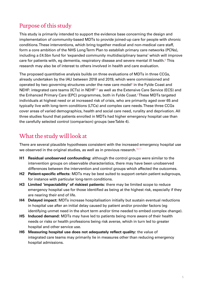# <span id="page-4-0"></span>Purpose of this study

This study is primarily intended to support the evidence base concerning the design and implementation of community-based MDTs to provide joined-up care for people with chronic conditions. These interventions, which bring together medical and non-medical care staff, form a core ambition of the NHS Long Term Plan to establish primary care networks (PCNs), including a £4.5bn fund for 'expanded community multidisciplinary teams' which will improve care for patients with, eg dementia, respiratory disease and severe mental ill health. $8$  This research may also be of interest to others involved in health and care evaluation.

The proposed quantitative analysis builds on three evaluations of MDTs in three CCGs, already undertaken by the IAU between 2018 and 2019, which were commissioned and operated by two governing structures under the new care model $^6$  $^6$  in the Fylde Coast and NEHF: integrated care teams (ICTs) in NEHF<sup>[3](#page-47-3)[,9](#page-47-9)</sup> as well as the Extensive Care Service (ECS) and the Enhanced Primary Care (EPC) programmes, both in Fylde Coast.<sup>[5](#page-47-5)</sup>These MDTs targeted individuals at highest need or at increased risk of crisis, who are primarily aged over 65 and typically live with long-term conditions (LTCs) and complex care needs. These three CCGs cover areas of varied demographics, health and social care need, rurality and deprivation. All three studies found that patients enrolled in MDTs had higher emergency hospital use than the carefully selected control (comparison) groups (see Table 4).

### What the study will look at

There are several plausible hypotheses consistent with the increased emergency hospital use we observed in the original studies, as well as in previous research.<sup>[10](#page-47-10)[,11](#page-47-11)</sup>

- **H1 Residual unobserved confounding:** although the control groups were similar to the intervention groups on observable characteristics, there may have been unobserved differences between the intervention and control groups which affected the outcomes.
- **H2 Patient-specific effects:** MDTs may be best suited to support certain patient subgroups, for instance with particular long-term conditions.
- **H3 Limited 'impactability' of riskiest patients:** there may be limited scope to reduce emergency hospital use for those identified as being at the highest risk, especially if they are nearing their end of life.
- **H4 Delayed impact:** MDTs increase hospitalisation initially but sustain eventual reductions in hospital use after an initial delay caused by patient and/or provider factors (eg identifying unmet need in the short term and/or time needed to embed complex change).
- **H5 Induced demand:** MDTs may have led to patients being more aware of their health needs or risks or health professions being risk averse, which in turn led to greater hospital and other service use.
- **H6 Measuring hospital use does not adequately reflect quality:** the value of integrated care teams may primarily lie in measures other than reducing emergency hospital admissions.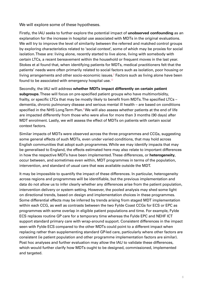We will explore some of these hypotheses.

Firstly, the IAU seeks to further explore the potential impact of **unobserved confounding** as an explanation for the increase in hospital use associated with MDTs in the original evaluations. We will try to improve the level of similarity between the referred and matched control groups by exploring characteristics related to 'social context', some of which may be proxies for social isolation. These are: living alone, recently started to live alone, living with somebody with certain LTCs, a recent bereavement within the household or frequent moves in the last year. Stokes et al found that, when identifying patients for MDTs, medical practitioners felt that the patients' needs were often primarily related to social factors such as isolation, poor housing or living arrangements and other socio-economic issues. $^2$  $^2$  Factors such as living alone have been found to be associated with emergency hospital use.<sup>[12](#page-47-12)</sup>

Secondly, the IAU will address **whether MDTs impact differently on certain patient subgroups**. These will focus on pre-specified patient groups who have multimorbidity, frailty, or specific LTCs that may be mostly likely to benefit from MDTs. The specified LTCs – dementia, chronic pulmonary disease and serious mental ill health – are based on conditions specified in the NHS Long Term Plan. $8$  We will also assess whether patients at the end of life are impacted differently from those who were alive for more than 3 months (90 days) after MDT enrolment. Lastly, we will assess the effect of MDTs on patients with certain social context factors.

Similar impacts of MDTs were observed across the three programmes and CCGs, suggesting some general effects of such MDTs, even under varied conditions, that may hold across English communities that adopt such programmes. While we may identify impacts that may be generalised to England, the effects estimated here may also relate to important differences in how the respective MDTs have been implemented. These differences, or **heterogeneity**, occur between, and sometimes even within, MDT programmes in terms of the population, intervention, and standard of usual care that was available outside the MDT.

It may be impossible to quantify the impact of these differences. In particular, heterogeneity across regions and programmes will be identifiable, but the previous implementation and data do not allow us to infer clearly whether any differences arise from the patient population, intervention delivery or system setting. However, the pooled analysis may shed some light on directional trends, based on design and implementation choices in these programmes. Some differential effects may be inferred by trends arising from staged MDT implementation within each CCG, as well as contrasts between the two Fylde Coast CCGs for ECS or EPC as programmes with some overlap in eligible patient populations and time. For example, Fylde ECS replaces routine GP care for a temporary time whereas the Fylde EPC and NEHF ICT support standard primary care with wrap-around support. Consistent differences in the impact seen with Fylde ECS compared to the other MDTs could point to a different impact when replacing rather than supplementing standard GP-led care, particularly where other factors are consistent (ie patient population and other programme implementation factors are similar). Post hoc analyses and further evaluation may allow the IAU to validate these differences, which would further clarify how MDTs ought to be designed, commissioned, implemented and targeted.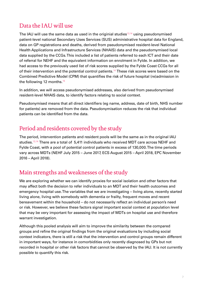# <span id="page-6-0"></span>Data the IAU will use

The IAU will use the same data as used in the originial studies $13,14$  $13,14$  using pseudonymised patient-level national Secondary Uses Services (SUS) administrative hospital data for England, data on GP registrations and deaths, derived from pseudonymised resident-level National Health Applications and Infrastructure Services (NHAIS) data and the pseudomymised local data supplied by the CCGs. This included a list of patients referred to each ICT and their date of referral for NEHF and the equivalent information on enrolment in Fylde. In addition, we had access to the previously used list of risk scores supplied by the Fylde Coast CCGs for all of their intervention and the potential control patients.<sup>[14](#page-47-14)</sup> These risk scores were based on the Combined Predictive Model (CPM) that quantifies the risk of future hospital (re)admission in the following 12 months.<sup>[15](#page-47-15)</sup>

In addition, we will access pseudonymised addresses, also derived from pseudonymised resident-level NHAIS data, to identify factors relating to social context.

Pseudonymised means that all direct identifiers (eg name, address, date of birth, NHS number for patients) are removed from the data. Pseudonymisation reduces the risk that individual patients can be identified from the data.

### Period and residents covered by the study

The period, intervention patients and resident pools will be the same as in the original IAU studies.[13](#page-47-13),[14](#page-47-14) There are a total of 5,411 individuals who received MDT care across NEHF and Fylde Coast, with a pool of potential control patients in excess of 130,000. The time periods vary across MDTs (NEHF July 2015 – June 2017, ECS August 2015 – April 2018, EPC November 2016 – April 2018).

### Main strengths and weaknesses of the study

We are exploring whether we can identify proxies for social isolation and other factors that may affect both the decision to refer individuals to an MDT and their health outcomes and emergency hospital use. The variables that we are investigating – living alone, recently started living alone, living with somebody with dementia or frailty, frequent moves and recent bereavement within the household – do not necessarily reflect an individual person's need or risk. However, we believe these factors signal important social context at population level that may be very important for assessing the impact of MDTs on hospital use and therefore warrant investigation.

Although this pooled analysis will aim to improve the similarity between the compared groups and refine the original findings from the original evaluations by including social context indicators, there is still a risk that the intervention and control groups remain different in important ways, for instance in comorbidities only recently diagnosed by GPs but not recorded in hospital or other risk factors that cannot be observed by the IAU. It is not currently possible to quantify this risk.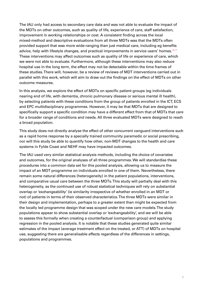The IAU only had access to secondary care data and was not able to evaluate the impact of the MDTs on other outcomes, such as quality of life, experience of care, staff satisfaction, improvement in working relationships or cost. A consistent finding across the local mixed-method and descriptive evaluations from all three MDTs was that the MDTs often provided support that was more wide-ranging than just medical care, including eg benefits advice, help with lifestyle changes, and practical improvements in service users' homes.<sup>[16](#page-47-16)[,17](#page-47-17)</sup> These interventions may affect outcomes such as quality of life or experience of care, which we were not able to evaluate. Furthermore, although these interventions may also reduce hospital use in the long term, the effect may not be detectable within the time frames of these studies. There will, however, be a review of reviews of MDT interventions carried out in parallel with this work, which will aim to draw out the findings on the effect of MDTs on other outcome measures.

In this analysis, we explore the effect of MDTs on specific patient groups (eg individuals nearing end of life, with dementia, chronic pulmonary disease or serious mental ill health), by selecting patients with these conditions from the group of patients enrolled in the ICT, ECS and EPC multidisciplinary programmes. However, it may be that MDTs that are designed to specifically support a specific condition may have a different effect from that of MDTs that care for a broader range of conditions and needs. All three evaluated MDTs were designed to reach a broad population.

This study does not directly analyse the effect of other concurrent vanguard interventions such as a rapid home response by a specially trained community paramedic or social prescribing, nor will this study be able to quantify how other, non-MDT changes to the health and care systems in Fylde Coast and NEHF may have impacted outcomes.

The IAU used very similar statistical analysis methods, including the choice of covariates and outcomes, for the original analyses of all three programmes. We will standardise these procedures into a common data set for this pooled analysis, allowing us to measure the impact of an MDT programme on individuals enrolled in one of them. Nevertheless, there remain some natural differences (heterogeneity) in the patient populations, interventions, and comparative usual care between the three MDTs. This study will partially deal with this heterogeneity, as the continued use of robust statistical techniques will rely on substantial overlap or 'exchangeability' (ie similarity irrespective of whether enrolled in an MDT or not) of patients in terms of their observed characteristics. The three MDTs were similar in their design and implementation, perhaps to a greater extent than might be expected from the locally led programme design that was scoped under the new care models. The study populations appear to show substantial overlap or 'exchangeability', and we will be able to assess this formally when creating a counterfactual (comparison group) and applying regression in the pooled analysis. It is notable that these studies generated quite similar estimates of the impact (average treatment effect on the treated, or ATT) of MDTs on hospital use, suggesting there are generalisable effects regardless of the differences in settings, populations and programmes.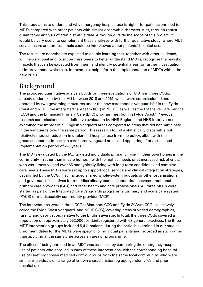<span id="page-8-0"></span>This study aims to understand why emergency hospital use is higher for patients enrolled to MDTs compared with other patients with similar observable characteristics, through robust quantitative analysis of administrative data. Although outside the scope of this project, it would be very useful to complement these analyses with further qualitative study, where MDT service users and professionals could be interviewed about patients' hospital use.

The results are nonetheless expected to enable learning that, together with other evidence, will help national and local commissioners to better understand MDTs, recognise the realistic impacts that can be expected from them, and identify potential areas for further investigation or improvement, which can, for example, help inform the implementation of MDTs within the new PCNs.

# Background

The proposed quantitative analysis builds on three evaluations of MDTs in three CCGs, already undertaken by the IAU between 2018 and 2019, which were commissioned and operated by two governing structures under the new care models vanguards<sup> $6,18$  $6,18$ </sup> in the Fylde Coast and NEHF: the integrated care team (ICT) in NEHF<sup>[3](#page-47-3)</sup>, as well as the Extensive Care Service (ECS) and the Enhanced Primary Care (EPC) programmes, both in Fylde Coast.<sup>[5](#page-47-5)</sup> Previous research commissioned as a definitive evaluation by NHS England and NHS Improvement examined the impact of all English vanguard areas compared to areas that did not participate in the vanguards over the same period. This research found a statistically discernible but relatively modest reduction in unplanned hospital use from the policy, albeit with the greatest apparent impacts in care home vanguard areas and appearing after a sustained implementation period of 2–3 years.<sup>[19](#page-47-19)</sup>

The MDTs evaluated by the IAU targeted individuals primarily living in their own homes in the community – rather than in care homes – with the highest needs or at increased risk of crisis, who were mostly aged over 65 and typically living with long-term conditions and complex care needs. These MDTs were set up to support local service and clinical integration strategies, usually led by the CCG. They included shared whole-system budgets or other organisational and governance incentives for multidisciplinary team collaboration, between traditional primary care providers (GPs) and other health and care professionals. All three MDTs were started as part of the Integrated Care Vanguards programme (primary and acute care system (PACS) or multispecialty community provider (MCP)).

The interventions were in three CCGs (Blackpool CCG and Fylde & Wyre CCG, collectively called the Fylde Coast vanguard, and NEHF CCG), covering areas of varied demographics, rurality and deprivation, relative to the English average. In total, the three CCGs covered a population of approximately 552,000 residents registered with 63 general practices. The three MDT intervention groups included 5,411 patients during the periods examined in our studies. Enrolment dates for the MDTs were specific to individual patients and recorded as such rather than applying at the same time across an area or programme.

The effect of being enrolled in an MDT was assessed by comparing the emergency hospital use of patients who enrolled in each of these interventions with the corresponding hospital use of carefully chosen matched control groups from the same local community, who were similar individuals on a range of known characteristics, eg age, gender, LTCs and prior hospital use.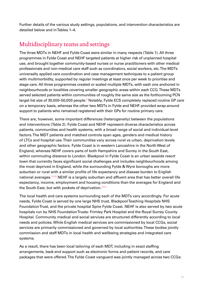<span id="page-9-0"></span>Further details of the various study settings, populations, and intervention characteristics are detailed below and in Tables 1–4.

## Multidisciplinary teams and settings

The three MDTs in NEHF and Fylde Coast were similar in many respects (Table 1). All three programmes in Fylde Coast and NEHF targeted patients at higher risk of unplanned hospital use, and brought together community-based nurses or nurse practitioners with other medical professionals and non-medical care staff such as coordinators, social workers, etc. The MDTs universally applied care coordination and case management techniques to a patient group with multimorbidity, supported by regular meetings at least once per week to prioritise and stage care. All three programmes created or scaled multiple MDTs, with each one anchored in neighbourhoods or localities covering smaller geographic areas within each CCG. These MDTs served selected patients within communities of roughly the same size as the forthcoming PCN target list size of 30,000–50,000 people.<sup>[8](#page-47-8)</sup> Notably, Fylde ECS completely replaced routine GP care on a temporary basis, whereas the other two MDTs in Fylde and NEHF provided wrap-around support to patients who remained registered with their GPs for routine primary care.

There are, however, some important differences (heterogeneity) between the populations and interventions (Table 2). Fylde Coast and NEHF represent diverse characteristics across patients, communities and health systems, with a broad range of social and individual-level factors. The MDT patients and matched controls span ages, genders and medical history of LTCs and hospital use. Their communities vary across rural vs urban, deprivation levels and other geographic factors. Fylde Coast is in western Lancashire in the North West of England, whereas NEHF covers parts of both Hampshire and Surrey in the South East, within commuting distance to London. Blackpool in Fylde Coast is an urban seaside resort town that currently faces significant social challenges and includes neighbourhoods among the most deprived in England, while the surrounding Fylde & Wyre boroughs are more suburban or rural with a similar profile of life expectancy and disease burden to English national averages.[14](#page-47-14),[20](#page-47-20) NEHF is a largely suburban and affluent area that has better overall life expectancy, income, employment and housing conditions than the averages for England and the South East, but with pockets of deprivation.<sup>[13](#page-47-13)[,21](#page-48-0)</sup>

The local health and care systems surrounding each of the MDTs vary accordingly. For acute needs, Fylde Coast is served by one large NHS trust, Blackpool Teaching Hospitals NHS Foundation Trust, and the private hospital Spire Fylde Coast. NEHF is also served by two acute hospitals run by NHS Foundation Trusts: Frimley Park Hospital and the Royal Surrey County Hospital. Community medical and social services are structured differently according to local needs and policies. While English medical services are commissioned by local CCGs, social services are primarily commissioned and governed by local authorities. These bodies jointly commission and staff MDTs in local health and wellbeing strategies and integrated care systems.

As a result, there has been local tailoring of each MDT, including in exact staffing arrangements, back-end support such as electronic forms and patient records, and care packages that were offered. The Fylde Coast vanguard was jointly managed across two CCGs: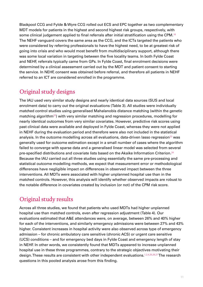<span id="page-10-0"></span>Blackpool CCG and Fylde & Wyre CCG rolled out ECS and EPC together as two complementary MDT models for patients in the highest and second highest risk groups, respectively, with some clinical judgement applied to final referrals after initial stratification using the CPM.<sup>[16](#page-47-16)</sup> The NEHF vanguard covers the same area as the CCG, and the ICTs targeted the patients who were considered by referring professionals to have the highest need, to be at greatest risk of going into crisis and who would most benefit from multidisciplinary support, although there was some local variation in targeting between the five locality teams. In both Fylde Coast and NEHF, referrals typically came from GPs. In Fylde Coast, final enrolment decisions were determined by a clinical assessment carried out by the MDT and patient consent to starting the service. In NEHF, consent was obtained before referral, and therefore all patients in NEHF referred to an ICT are considered enrolled in the programme.

## Original study designs

The IAU used very similar study designs and nearly identical data sources (SUS and local enrolment data) to carry out the original evaluations (Table 3). All studies were individually matched control studies using generalised Mahalanobis distance matching (within the genetic matching algorithm<sup>[22](#page-48-1)</sup>) with very similar matching and regression procedures, modelling for nearly identical outcomes from very similar covariates. However, predictive risk scores using past clinical data were available and deployed in Fylde Coast, whereas they were not applied in NEHF during the evaluation period and therefore were also not included in the statistical analysis. In the outcome modelling across all evaluations, data-driven lasso regression<sup>[23](#page-48-2)</sup> was generally used for outcome estimation except in a small number of cases where the algorithm failed to converge with sparse data and a generalised linear model was selected from several pre-specified distributions and covariate lists based on the Akaike Information Criterion.[24](#page-48-3) Because the IAU carried out all three studies using essentially the same pre-processing and statistical outcome modelling methods, we expect that measurement error or methodological differences have negligible impact on differences in observed impact between the three interventions. All MDTs were associated with higher unplanned hospital use than in the matched controls. However, this analysis will identify whether observed impacts are robust to the notable difference in covariates created by inclusion (or not) of the CPM risk score.

# Original study results

Across all three studies, we found that patients who used MDTs had higher unplanned hospital use than matched controls, even after regression adjustment (Table 4). Our evaluations estimated that A&E attendances were, on average, between 26% and 40% higher for each of the interventions, and similarly emergency admissions were between 27% and 43% higher. Consistent increases in hospital activity were also observed across type of emergency admission – for chronic ambulatory care sensitive (chronic ACS) or urgent care sensitive (UCS) conditions – and for emergency bed days in Fylde Coast and emergency length of stay in NEHF. In other words, we consistently found that MDTs appeared to increase unplanned hospital use in these three programmes, contrary to the strategic objectives motivating their design. These results are consistent with other independent evaluations.<sup>[1,](#page-47-1)[2](#page-47-2),[4](#page-47-4)[,25](#page-48-4),[26,](#page-48-5)[27](#page-48-6)</sup> The research questions in this pooled analysis arose from this finding.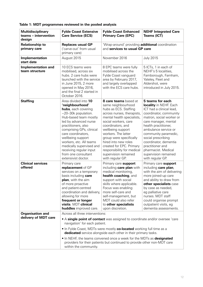| <b>Multidisciplinary</b><br>teams - intervention<br>design | <b>Fylde Coast Extensive</b><br><b>Care Service (ECS)</b>                                                                                                                                                                                                                                                                                                                                                                                                                     | <b>Fylde Coast Enhanced</b><br><b>NEHF Integrated Care</b><br><b>Primary Care (EPC)</b><br><b>Teams (ICT)</b>                                                                                                                                                                                                                                                                                                                                                                                                                                                                                                                                                                                                                                            |                                                                                                                                                                                                                                                                                                     |
|------------------------------------------------------------|-------------------------------------------------------------------------------------------------------------------------------------------------------------------------------------------------------------------------------------------------------------------------------------------------------------------------------------------------------------------------------------------------------------------------------------------------------------------------------|----------------------------------------------------------------------------------------------------------------------------------------------------------------------------------------------------------------------------------------------------------------------------------------------------------------------------------------------------------------------------------------------------------------------------------------------------------------------------------------------------------------------------------------------------------------------------------------------------------------------------------------------------------------------------------------------------------------------------------------------------------|-----------------------------------------------------------------------------------------------------------------------------------------------------------------------------------------------------------------------------------------------------------------------------------------------------|
| <b>Relationship to</b><br>primary care                     | <b>Replaces usual GP</b><br>('carve-out' from usual<br>primary care)                                                                                                                                                                                                                                                                                                                                                                                                          | 'Wrap-around' providing additional coordination<br>and services to usual GP care                                                                                                                                                                                                                                                                                                                                                                                                                                                                                                                                                                                                                                                                         |                                                                                                                                                                                                                                                                                                     |
| Implementation<br>start date                               | August 2015                                                                                                                                                                                                                                                                                                                                                                                                                                                                   | November 2016                                                                                                                                                                                                                                                                                                                                                                                                                                                                                                                                                                                                                                                                                                                                            | <b>July 2015</b>                                                                                                                                                                                                                                                                                    |
| <b>Implementation and</b><br>team structure                | 10 ECS teams were<br>mobilised, across six<br>hubs. 2 care hubs were<br>launched with the service<br>in June 2015, 2 more<br>opened in May 2016,<br>and the final 2 started in<br>October 2016.                                                                                                                                                                                                                                                                               | 5 ICTs, 1 in each of<br>8 EPC teams were fully<br>NEHF's 5 localities,<br>mobilised across the<br>Fylde Coast vanguard<br>Farnborough, Farnham,<br>area by February 2017,<br>Yateley, Fleet and<br>Aldershot, were<br>and largely overlapped<br>with the ECS care hubs.<br>introduced in July 2015.                                                                                                                                                                                                                                                                                                                                                                                                                                                      |                                                                                                                                                                                                                                                                                                     |
| <b>Staffing</b>                                            | Area divided into 10<br>'neighbourhood'<br>hubs, each covering<br>$~20-30k$ population.<br>Hub-based team mostly<br>led by advanced nurse<br>practitioners, also<br>comprising GPs, clinical<br>care coordinators,<br>wellbeing support<br>workers, etc. All teams<br>medically supervised and<br>receiving regular input<br>from one consultant<br>extensivist doctor.                                                                                                       | 5 teams for each<br>8 care teams based at<br>locality in NEHF. Each<br>same neighbourhood<br>hubs as ECS. Staffing<br>ICT had a clinical lead,<br>across nurses, therapists,<br>coordinator, community<br>mental health specialists,<br>matron, social worker or<br>social workers, care<br>care manager, mental<br>coordinators, and<br>health practitioner,<br>ambulance service or<br>wellbeing support<br>workers. The latter<br>community paramedic,<br>group were specifically<br>social prescribing<br>hired into new roles<br>coordinator, dementia<br>created for EPC. Primary<br>practitioner and<br>pharmacist. Medical<br>responsibility for medical<br>supervision remained<br>supervision remained<br>with regular GP.<br>with regular GP. |                                                                                                                                                                                                                                                                                                     |
| <b>Clinical services</b><br>offered                        | Primary care<br>replacement of GP<br>services on a temporary<br>basis including care<br>plan, with the aim<br>of more proactive<br>and patient-centred<br>coordination and delivery,<br>allowing for more<br>frequent or longer<br>visits. MDT clinical<br><b>huddles</b> improved care.                                                                                                                                                                                      | Primary care support<br>including care plan with<br>medical monitoring,<br>health coaching, and<br>support with social<br>skills where applicable.<br>Focus was enabling<br>more self-care and<br>self-management, but<br>MDT could also refer<br>to other specialists<br>upon discretion.                                                                                                                                                                                                                                                                                                                                                                                                                                                               | Primary care support<br>including care plan,<br>with the aim of delivering<br>more joined-up care<br>and ability to draw from<br>other specialists case<br>by case as needed,<br>eg palliative care<br>nurses. MDT staff<br>could organise prompt<br>outpatient visits, eg<br>dementia assessments. |
| <b>Organisation and</b><br>delivery of MDT care            | Across all three interventions:<br>• A single point of contact was assigned to coordinate and/or oversee 'care<br>navigation' for each patient.<br>• In Fylde Coast, MDTs were mostly co-located working full time as a<br>dedicated service alongside each other in their primary tasks.<br>• In NEHF, the teams convened once a week for the MDTs as <b>designated</b><br>providers for their patients but continued to provide other non-MDT care<br>within the community. |                                                                                                                                                                                                                                                                                                                                                                                                                                                                                                                                                                                                                                                                                                                                                          |                                                                                                                                                                                                                                                                                                     |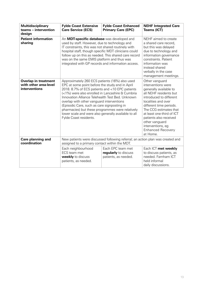| <b>Multidisciplinary</b><br>teams - intervention<br>design            | <b>Fylde Coast Extensive</b><br><b>Care Service (ECS)</b>                                                                                                                                                                                                                                                                                                                                                                                                                                      | <b>Fylde Coast Enhanced</b><br><b>Primary Care (EPC)</b>                                                                                                                                                                                                                                                                              | <b>NEHF Integrated Care</b><br><b>Teams (ICT)</b> |
|-----------------------------------------------------------------------|------------------------------------------------------------------------------------------------------------------------------------------------------------------------------------------------------------------------------------------------------------------------------------------------------------------------------------------------------------------------------------------------------------------------------------------------------------------------------------------------|---------------------------------------------------------------------------------------------------------------------------------------------------------------------------------------------------------------------------------------------------------------------------------------------------------------------------------------|---------------------------------------------------|
| <b>Patient information</b><br>sharing                                 | An MDT-specific database was developed and<br>used by staff. However, due to technology and<br>IT constraints, this was not shared routinely with<br>hospital staff, though specific MDT clinicians could<br>follow up on this as needed. This shared care record<br>was on the same EMIS platform and thus was<br>integrated with GP records and information access.                                                                                                                          | NEHF aimed to create<br>a shared care record,<br>but this was delayed<br>due to technology and<br>information governance<br>constraints. Patient<br>information was<br>instead shared<br>verbally in the case<br>management meetings.                                                                                                 |                                                   |
| <b>Overlap in treatment</b><br>with other area-level<br>interventions | Approximately 260 ECS patients (16%) also used<br>EPC at some point before the study end in April<br>2018. 8.7% of ECS patients and <10 EPC patients<br>(<1%) were also enrolled in Lancashire & Cumbria<br>Innovation Alliance Telehealth Test Bed. Unknown<br>overlap with other vanguard interventions<br>(Episodic Care, such as care signposting in<br>pharmacies) but these programmes were relatively<br>lower scale and were also generally available to all<br>Fylde Coast residents. | Other vanguard<br>interventions were<br>generally available to<br>all NEHF residents but<br>introduced to different<br>localities and over<br>different time periods.<br>The CCG estimates that<br>at least one-third of ICT<br>patients also received<br>other vanguard<br>interventions, eg<br><b>Enhanced Recovery</b><br>at Home. |                                                   |
| Care planning and<br>coordination                                     | New patients were discussed following referral; an action plan was created and<br>assigned to a primary contact within the MDT.                                                                                                                                                                                                                                                                                                                                                                |                                                                                                                                                                                                                                                                                                                                       |                                                   |
|                                                                       | Each neighbourhood<br>ECS team met<br>weekly to discuss<br>patients, as needed.                                                                                                                                                                                                                                                                                                                                                                                                                | Each ICT met weekly<br>to discuss patients, as<br>needed. Farnham ICT<br>held informal<br>daily discussions.                                                                                                                                                                                                                          |                                                   |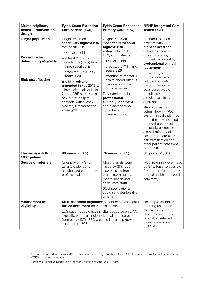| <b>Multidisciplinary</b><br>teams - intervention<br>design                                                | <b>Fylde Coast Extensive</b><br><b>Care Service (ECS)</b>                                                                                                                                                                                                                                                                                                                                                                                              | <b>Fylde Coast Enhanced</b><br><b>Primary Care (EPC)</b>                                                                                                                                                                                                                                                                                                                                                          | <b>NEHF Integrated Care</b><br>Teams (ICT)                                                                                                                                                                                                                                                                                                                                                                                                                                                                                                                                                                           |
|-----------------------------------------------------------------------------------------------------------|--------------------------------------------------------------------------------------------------------------------------------------------------------------------------------------------------------------------------------------------------------------------------------------------------------------------------------------------------------------------------------------------------------------------------------------------------------|-------------------------------------------------------------------------------------------------------------------------------------------------------------------------------------------------------------------------------------------------------------------------------------------------------------------------------------------------------------------------------------------------------------------|----------------------------------------------------------------------------------------------------------------------------------------------------------------------------------------------------------------------------------------------------------------------------------------------------------------------------------------------------------------------------------------------------------------------------------------------------------------------------------------------------------------------------------------------------------------------------------------------------------------------|
| <b>Target population</b><br><b>Procedure for</b><br>determining eligibility<br><b>Risk stratification</b> | Originally aimed at the<br>cohort with <b>highest risk</b><br>for hospital use:<br>$-60+$ years old<br>- at least 2 long-term<br>conditions (LTCs) from<br>a pre-specified list*<br>- predicted CPM <sup>+</sup> risk<br>score $\geq 20$ .<br>Eligibility criteria<br>amended in Feb 2016 to<br>allow individuals at least<br>2 prior A&E admissions<br>or 2 out-of-hospital<br>contacts within last 2<br>months, instead of risk<br>score $\geq 20$ . | Originally aimed at a<br>moderate or 'second<br>highest' risk<br>cohort, alongside<br>ECS, with patients:<br>- 16+ years old<br>- predicted CPM <sup>+</sup> risk<br>score $\geq 20$<br>- attention to mental ill<br>health and/or difficult<br>personal or social<br>circumstances.<br>Expanded to include<br>professional<br>clinical judgement<br>about anyone who<br>could benefit from<br>increased support. | Intended to reach<br>patients with<br>highest need and<br>at highest risk of<br>going into crisis,<br>primarily assessed by<br>professional clinical<br>judgement.<br>In practice, health<br>professionals also<br>selected patients<br>based on who they<br>considered would<br>benefit most from<br>a multidisciplinary<br>approach.<br><b>Risk scores (using</b><br>Johns Hopkins ACG<br>system) initially planned<br>but ultimately not used<br>during the period of<br>the study, except for<br>a small minority of<br>cases. Farnham used<br>risk stratification and<br>other patient data from<br>March 2017. |
| Median age (IQR) of<br><b>MDT</b> patient                                                                 | 80 years (73, 85)                                                                                                                                                                                                                                                                                                                                                                                                                                      | <b>76 years</b> (63, 85)                                                                                                                                                                                                                                                                                                                                                                                          | 81 years (72, 87)                                                                                                                                                                                                                                                                                                                                                                                                                                                                                                                                                                                                    |
| <b>Source of referrals</b>                                                                                | Originally only GPs.<br>Later broadened to<br>hospital and community<br>professionals.                                                                                                                                                                                                                                                                                                                                                                 | Most referrals were<br>made by GPs, but<br>also possible from<br>others (community,<br>mental health and<br>social care staff).<br><b>Blackpool patients</b><br>could self-refer but this<br>was rare.                                                                                                                                                                                                            | Most referrals were made<br>by GPs, but also possible<br>from others (community,<br>mental health and social<br>care staff).                                                                                                                                                                                                                                                                                                                                                                                                                                                                                         |
| Assessment of<br>eligibility                                                                              | MDT assessed eligibility; patient or service could<br>refuse enrolment for various reasons.<br>ECS patients could not simultaneously be on EPC.<br>Typically, where a single individual did receive care<br>from both MDTs, EPC was used as a step-down<br>service from ECS.                                                                                                                                                                           |                                                                                                                                                                                                                                                                                                                                                                                                                   | Health professionals<br>referring used their<br>clinical assessment.<br>Patients could refuse<br>referral; all referred<br>patients were seen<br>by MDT.                                                                                                                                                                                                                                                                                                                                                                                                                                                             |

<sup>\*</sup> Across coronary arterial disease (CAD), atrial fibrillation, congestive heart failure (CHF), chronic obstructive pulmonary disease (COPD), diabetes, dementia.

<sup>†</sup> Combined Predictive Model using inpatient, outpatient, A&E and GP data.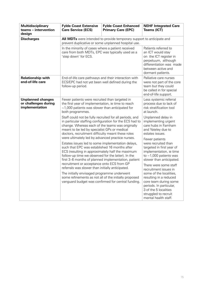| <b>Multidisciplinary</b><br>teams - intervention<br>design                                                                                                                                                                                                                                                                                                                                                                                                                                                                                                                              | <b>Fylde Coast Extensive</b><br><b>Care Service (ECS)</b>                                                                                                                                                                                                                                                                                                                                                                                                        | <b>Fylde Coast Enhanced</b><br><b>Primary Care (EPC)</b>                                                                                                                                                                         | <b>NEHF Integrated Care</b><br><b>Teams (ICT)</b>                                                                              |
|-----------------------------------------------------------------------------------------------------------------------------------------------------------------------------------------------------------------------------------------------------------------------------------------------------------------------------------------------------------------------------------------------------------------------------------------------------------------------------------------------------------------------------------------------------------------------------------------|------------------------------------------------------------------------------------------------------------------------------------------------------------------------------------------------------------------------------------------------------------------------------------------------------------------------------------------------------------------------------------------------------------------------------------------------------------------|----------------------------------------------------------------------------------------------------------------------------------------------------------------------------------------------------------------------------------|--------------------------------------------------------------------------------------------------------------------------------|
| <b>Discharges</b>                                                                                                                                                                                                                                                                                                                                                                                                                                                                                                                                                                       | All MDTs were intended to provide temporary support to anticipate and<br>prevent duplicative or some unplanned hospital use.                                                                                                                                                                                                                                                                                                                                     |                                                                                                                                                                                                                                  |                                                                                                                                |
|                                                                                                                                                                                                                                                                                                                                                                                                                                                                                                                                                                                         | In the minority of cases where a patient received<br>care from both MDTs, EPC was typically used as a<br>'step down' for ECS.                                                                                                                                                                                                                                                                                                                                    | Patients referred to<br>an ICT would stay<br>on the ICT register in<br>perpetuum, although<br>differentiation was made<br>between active and<br>dormant patients.                                                                |                                                                                                                                |
| <b>Relationship with</b><br>end-of-life care                                                                                                                                                                                                                                                                                                                                                                                                                                                                                                                                            | End-of-life care pathways and their interaction with<br>ECS/EPC had not yet been well defined during the<br>follow-up period.                                                                                                                                                                                                                                                                                                                                    |                                                                                                                                                                                                                                  | Palliative care nurses<br>were not part of the core<br>team but they could<br>be called in for special<br>end-of-life support. |
| <b>Unplanned changes</b><br>or challenges during<br>implementation                                                                                                                                                                                                                                                                                                                                                                                                                                                                                                                      | Fewer patients were recruited than targeted in<br>the first year of implementation, ie time to reach<br>$\sim$ 1,000 patients was slower than anticipated for<br>both programmes.<br>Staff could not be fully recruited for all periods, and<br>in particular staffing configuration for the ECS had to<br>change. Whereas each of the teams was originally<br>meant to be led by specialist GPs or medical<br>doctors, recruitment difficulty meant these roles |                                                                                                                                                                                                                                  | Less systemic referral<br>process due to lack of<br>risk stratification tool<br>at launch.                                     |
|                                                                                                                                                                                                                                                                                                                                                                                                                                                                                                                                                                                         |                                                                                                                                                                                                                                                                                                                                                                                                                                                                  |                                                                                                                                                                                                                                  | Unplanned delay in<br>implementing urgent<br>care hubs in Farnham<br>and Yateley due to<br>estates issues.                     |
| were ultimately led by advanced practice nurses.<br>Estates issues led to some implementation delays,<br>such that EPC was established 16 months after<br>ECS (resulting in approximately half the maximum<br>follow-up time we observed for the latter). In the<br>first 3-6 months of planned implementation, patient<br>recruitment or acceptance onto ECS from GP<br>referrals was slower than initially anticipated.<br>The initially envisaged programme underwent<br>some refinements as not all of the initially proposed<br>vanguard budget was confirmed for central funding. |                                                                                                                                                                                                                                                                                                                                                                                                                                                                  | Fewer patients<br>were recruited than<br>targeted in first year of<br>implementation, ie time<br>to $\sim$ 1,000 patients was<br>slower than anticipated.                                                                        |                                                                                                                                |
|                                                                                                                                                                                                                                                                                                                                                                                                                                                                                                                                                                                         |                                                                                                                                                                                                                                                                                                                                                                                                                                                                  | There were some staff<br>recruitment issues in<br>some of the localities,<br>resulting in a reduced<br>core team during some<br>periods. In particular,<br>3 of the 5 localities<br>struggled to recruit<br>mental health staff. |                                                                                                                                |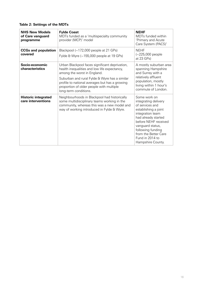#### **Table 2: Settings of the MDTs**

| <b>NHS New Models</b><br>of Care vanguard<br>programme | <b>Fylde Coast</b><br>MDTs funded as a 'multispecialty community<br>provider (MCP)' model                                                                                                                                                                                                             | <b>NEHF</b><br>MDTs funded within<br>'Primary and Acute<br>Care System (PACS)'                                                                                                                                                                              |
|--------------------------------------------------------|-------------------------------------------------------------------------------------------------------------------------------------------------------------------------------------------------------------------------------------------------------------------------------------------------------|-------------------------------------------------------------------------------------------------------------------------------------------------------------------------------------------------------------------------------------------------------------|
| <b>CCGs and population</b><br>covered                  | Blackpool $(-172,000$ people at 21 GPs)<br>Fylde & Wyre $(-155,000$ people at 19 GPs)                                                                                                                                                                                                                 | <b>NEHF</b><br>$(-225,000$ people<br>at 23 GPs)                                                                                                                                                                                                             |
| Socio-economic<br>characteristics                      | Urban Blackpool faces significant deprivation,<br>health inequalities and low life expectancy,<br>among the worst in England.<br>Suburban and rural Fylde & Wyre has a similar<br>profile to national averages but has a growing<br>proportion of older people with multiple<br>long-term conditions. |                                                                                                                                                                                                                                                             |
| <b>Historic integrated</b><br>care interventions       | Neighbourhoods in Blackpool had historically<br>some multidisciplinary teams working in the<br>community, whereas this was a new model and<br>way of working introduced in Fylde & Wyre.                                                                                                              | Some work on<br>integrating delivery<br>of services and<br>establishing a joint<br>integration team<br>had already started<br>before NEHF received<br>vanguard status,<br>following funding<br>from the Better Care<br>Fund in 2014 to<br>Hampshire County. |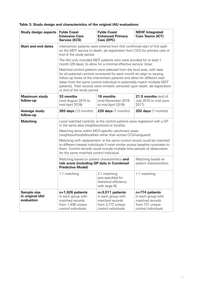|  | Table 3: Study design and characteristics of the original IAU evaluations |  |  |
|--|---------------------------------------------------------------------------|--|--|
|  |                                                                           |  |  |

| <b>Study design aspects</b>                  | <b>Fylde Coast</b><br><b>Extensive Care</b><br>Service (ECS)                                                                                                                                                                                                                                                                                                                                                                | <b>Fylde Coast</b><br><b>Enhanced Primary</b><br>Care (EPC)                                                                              |                                                                                                   |  |
|----------------------------------------------|-----------------------------------------------------------------------------------------------------------------------------------------------------------------------------------------------------------------------------------------------------------------------------------------------------------------------------------------------------------------------------------------------------------------------------|------------------------------------------------------------------------------------------------------------------------------------------|---------------------------------------------------------------------------------------------------|--|
| <b>Start and end dates</b>                   | Intervention patients were entered from first confirmed start of first spell<br>on the MDT service to death, de-registration from CCG for primary care or<br>end of the study period.                                                                                                                                                                                                                                       |                                                                                                                                          |                                                                                                   |  |
|                                              |                                                                                                                                                                                                                                                                                                                                                                                                                             | The IAU only included MDT patients who were enrolled for at least 1<br>month (28 days), to allow for a minimal effective service 'dose'. |                                                                                                   |  |
|                                              | Matched control patients were selected from the local area, with data<br>for all potential controls re-entered for each month (to align to varying<br>follow-up times of the intervention patients and allow for different start<br>dates from the same control individual to potentially match multiple MDT<br>patients). Their records were similarly censored upon death, de-registration<br>or end of the study period. |                                                                                                                                          |                                                                                                   |  |
| <b>Maximum study</b><br>follow-up            | 33 months<br>(mid-August 2015 to<br>mid-April 2018)                                                                                                                                                                                                                                                                                                                                                                         | 18 months<br>(mid-November 2016<br>to mid-April 2018)                                                                                    |                                                                                                   |  |
| Average study<br>follow-up                   | <b>393 days</b> (13 months)<br><b>220 days</b> $(7$ months)                                                                                                                                                                                                                                                                                                                                                                 |                                                                                                                                          | <b>202 days</b> $(7$ months)                                                                      |  |
| <b>Matching</b>                              | Local matched controls, ie the control patients were registered with a GP<br>in the same area (neighbourhood or locality).                                                                                                                                                                                                                                                                                                  |                                                                                                                                          |                                                                                                   |  |
|                                              | Matching done within MDT-specific catchment areas<br>(neighbourhoods/localities rather than across CCG/vanguard).                                                                                                                                                                                                                                                                                                           |                                                                                                                                          |                                                                                                   |  |
|                                              | Matching with replacement, ie the same control record could be matched<br>to different treated individuals if most similar across baseline covariates to<br>them. Control records could include multiple time periods of observation<br>for the same matched control individual.                                                                                                                                            |                                                                                                                                          |                                                                                                   |  |
|                                              | Matching based on patient characteristics and<br>Matching based on<br>risk score (including GP data in Combined<br>patient characteristics<br><b>Predictive Model)</b>                                                                                                                                                                                                                                                      |                                                                                                                                          |                                                                                                   |  |
|                                              | 1:1 matching                                                                                                                                                                                                                                                                                                                                                                                                                | 2:1 matching<br>(pre-specified for<br>statistical efficiency<br>with large N)                                                            | 1:1 matching                                                                                      |  |
| Sample size<br>in original IAU<br>evaluation | n=1,626 patients<br>in each group with<br>matched records<br>from 1,438 unique<br>control individuals                                                                                                                                                                                                                                                                                                                       | n=3,011 patients<br>in each group with<br>matched records<br>from 3,772 unique<br>control individuals                                    | n=774 patients<br>in each group with<br>matched records<br>from 731 unique<br>control individuals |  |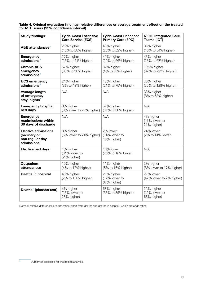**Table 4. Original evaluation findings: relative differences or average treatment effect on the treated for MDT users (95% confidence interval)**

| <b>Study findings</b><br><b>Fylde Coast Extensive</b><br><b>Care Service (ECS)</b> |                                           | <b>Fylde Coast Enhanced</b><br><b>Primary Care (EPC)</b> | <b>NEHF Integrated Care</b><br><b>Teams (ICT)</b> |
|------------------------------------------------------------------------------------|-------------------------------------------|----------------------------------------------------------|---------------------------------------------------|
| A&E attendances <sup>*</sup>                                                       | 26% higher<br>(15% to 38% higher)         | 40% higher<br>(28% to 52% higher)                        | 33% higher<br>(16% to 54% higher)                 |
| <b>Emergency</b><br>admissions*                                                    | 27% higher<br>(15% to 41% higher)         | 42% higher<br>(29% to 56% higher)                        | 43% higher<br>(23% to 67% higher)                 |
| <b>Chronic ACS</b><br>emergency<br>admissions <sup>*</sup>                         | 62% higher<br>(33% to 98% higher)         | 32% higher<br>(4% to 66% higher)                         | 105% higher<br>(32% to 222% higher)               |
| <b>UCS emergency</b><br>admissions*                                                | 24% higher<br>(3% to 48% higher)          | 46% higher<br>(21% to 75% higher)                        | 76% higher<br>(35% to 129% higher)                |
| Average length<br>of emergency<br>stay, nights <sup>*</sup>                        | N/A                                       | N/A                                                      | 33% higher<br>(8% to 63% higher)                  |
| <b>Emergency hospital</b><br>bed days                                              | 8% higher<br>(9% lower to 28% higher)     | 57% higher<br>(31% to 88% higher)                        | N/A                                               |
| <b>Emergency</b><br>readmissions within<br>30 days of discharge                    | N/A                                       | N/A                                                      | 4% higher<br>(11% lower to<br>21% higher)         |
| <b>Elective admissions</b><br>(ordinary or<br>non-regular day<br>admissions)       | 8% higher<br>(5% lower to 24% higher)     | 2% lower<br>(14% lower to<br>10% higher)                 | 24% lower<br>(2% to 41% lower)                    |
| <b>Elective bed days</b>                                                           | 1% higher<br>(34% lower to<br>54% higher) | 18% lower<br>(25% to 10% lower)                          | N/A                                               |
| <b>Outpatient</b><br>10% higher<br>attendances<br>(4% to 17% higher)               |                                           | 11% higher<br>(5% to 16% higher)                         | 3% higher<br>(8% lower to 17% higher)             |
| 43% higher<br><b>Deaths in hospital</b><br>(2% to 100% higher)                     |                                           | 21% higher<br>(12% lower to<br>67% higher)               | 27% lower<br>(42% lower to 2% higher)             |
| 4% higher<br>Deaths <sup>*</sup> (placebo test)<br>(16% lower to<br>28% higher)    |                                           | 58% higher<br>(33% to 89% higher)                        | 22% higher<br>(12% lower to<br>68% higher)        |

Note: all relative differences are rate ratios, apart from deaths and deaths in hospital, which are odds ratios.

Outcomes proposed for the pooled analysis.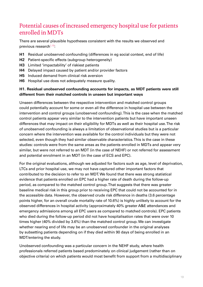## <span id="page-18-0"></span>Potential causes of increased emergency hospital use for patients enrolled in MDTs

There are several plausible hypotheses consistent with the results we observed and previous research $1,10$  $1,10$ :

- **H1** Residual unobserved confounding (differences in eg social context, end of life)
- **H2** Patient-specific effects (subgroup heterogeneity)
- **H3** Limited 'impactability' of riskiest patients
- **H4** Delayed impact caused by patient and/or provider factors
- **H5** Induced demand from clinical risk aversion
- **H6** Hospital use does not adequately measure quality.

### **H1. Residual unobserved confounding accounts for impacts, as MDT patients were still different from their matched controls in unseen but important ways**

Unseen differences between the respective intervention and matched control groups could potentially account for some or even all the difference in hospital use between the intervention and control groups (unobserved confounding). This is the case when the matched control patients appear very similar to the intervention patients but have important unseen differences that may impact on their eligibility for MDTs as well as their hospital use. The risk of unobserved confounding is always a limitation of observational studies but is a particular concern where the intervention was available for the control individuals but they were not selected, even though they had similar observable characteristics. This is the case in these studies: controls were from the same areas as the patients enrolled in MDTs and appear very similar, but were not referred to an MDT (in the case of NEHF) or not referred for assessment and potential enrolment in an MDT (in the case of ECS and EPC).

For the original evaluations, although we adjusted for factors such as age, level of deprivation, LTCs and prior hospital use, we may not have captured other important factors that contributed to the decision to refer to an MDT. We found that there was strong statistical evidence that patients enrolled on EPC had a higher rate of death during the follow-up period, as compared to the matched control group. That suggests that there was greater baseline medical risk in this group prior to receiving EPC that could not be accounted for in the accessible data. However, the observed crude risk difference in deaths (3.6 percentage points higher, for an overall crude mortality rate of 10.6%) is highly unlikely to account for the observed differences in hospital activity (approximately 40% greater A&E attendances and emergency admissions among all EPC users as compared to matched controls). EPC patients who died during the follow-up period did not have hospitalisation rates that were over 10 times higher (40% divided by 3.6%) than the matched control group. We can investigate whether nearing end of life may be an unobserved confounder in the original analyses by subsetting patients depending on if they died within 90 days of being enrolled in an MDT/entering the study.

Unobserved confounding was a particular concern in the NEHF study, where health professionals referred patients based predominately on clinical judgement (rather than on objective criteria) on which patients would most benefit from support from a multidisciplinary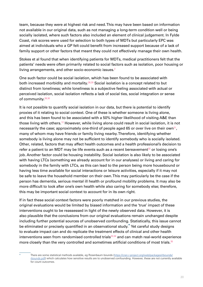team, because they were at highest risk and need. This may have been based on information not available in our original data, such as not managing a long-term condition well or being socially isolated, where such factors also included an element of clinical judgement. In Fylde Coast, risk scores were used for selection to both types of MDTs but particularly EPC was aimed at individuals who a GP felt could benefit from increased support because of a lack of family support or other factors that meant they could not effectively manage their own health.

Stokes et al found that when identifying patients for MDTs, medical practitioners felt that the patients' needs were often primarily related to social factors such as isolation, poor housing or living arrangements, and other socio-economic issues.<sup>[2](#page-47-2)</sup>

One such factor could be social isolation, which has been found to be associated with both increased morbidity and mortality.<sup>[28](#page-48-7),[29](#page-48-8)</sup> Social isolation is a concept related to but distinct from loneliness; while loneliness is a subjective feeling associated with actual or perceived isolation, social isolation reflects a lack of social ties, social integration or sense of community.<sup>[28](#page-48-7)[,30](#page-48-9)</sup>

It is not possible to quantify social isolation in our data, but there is potential to identify proxies of it relating to social context. One of these is whether someone is living alone, and this has been found to be associated with a 50% higher likelihood of visiting A&E than those living with others.[12](#page-47-12) However, while living alone could result in social isolation, it is not necessarily the case; approximately one-third of people aged 65 or over live on their own<sup>[31](#page-48-10)</sup>, many of whom may have friends or family living nearby. Therefore, identifying whether somebody is living alone may not be sufficient to identify somebody who is socially isolated. Other, related, factors that may affect health outcomes and a health professional's decision to refer a patient to an MDT may be life events such as a recent bereavement<sup>[32](#page-48-11)</sup> or losing one's job. Another factor could be housing instability. Social isolation is also likely to be associated with having LTCs (something we already account for in our analyses) or living and caring for somebody in the family with LTCs, as this can lead to the person being more housebound or having less time available for social interactions or leisure activities, especially if it may not be safe to leave the household member on their own. This may particularly be the case if the person has dementia, serious mental ill health or profound mobility problems. It may also be more difficult to look after one's own health while also caring for somebody else; therefore, this may be important social context to account for in its own right.

If in fact these social context factors were poorly matched in our previous studies, the original evaluations would be limited by biased information and the 'true' impact of these interventions ought to be reassessed in light of the newly observed data. However, it is also plausible that the conclusions from our original evaluations remain unchanged despite including further potential sources of unobserved confounding. Statistically, this issue cannot be eliminated or precisely quantified in an observational study.<sup>\*</sup> Yet careful study designs to evaluate impact can and do replicate the treatment effects of clinical and other health interventions seen from randomised controlled trials $33,34$  $33,34$  and can match real-world experience more closely than the very controlled and sometimes artificial conditions of most trials.<sup>[35](#page-48-14)</sup>

There are some statistical methods available, eg Rosenbaum bounds ([https://cran.r-project.org/web/packages/rbounds/](https://cran.r-project.org/web/packages/rbounds/rbounds.pdf) [rbounds.pdf\)](https://cran.r-project.org/web/packages/rbounds/rbounds.pdf) which calculates how sensitive results are to unobserved confounding. However, these are not currently available for count outcomes.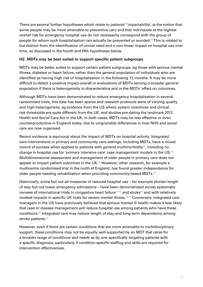There are several further hypotheses which relate to patients' 'impactability', ie the notion that some people may be more amenable to preventive care and that individuals at the highest overall risk for emergency hospital use do not necessarily correspond with the group of people for whom such hospitalisation can actually be prevented or avoided.[36](#page-48-15) This is related to but distinct from the identification of unmet need and a non-linear impact on hospital use over time, as discussed in the fourth and fifth hypotheses below.

#### **H2. MDTs may be best suited to support specific patient subgroups**

MDTs may be better suited to support certain patient subgroups, eg those with serious mental illness, diabetes or heart failure, rather than the general population of individuals who are identified as having high risk of hospitalisation in the following 12 months. It may be more difficult to detect a positive impact overall in evaluations of MDTs serving a broader general population if there is heterogeneity in characteristics and in the MDTs' effect on outcomes.

Although MDTs have been demonstrated to reduce emergency hospitalisation in several randomised trials, this data has been sparse and research protocols were of varying quality and high heterogeneity, eg evidence from the US where system incentives and clinical risk thresholds are quite different from the UK, and studies pre-dating the landmark 2012 Health and Social Care Act in the UK. In both cases, MDTs may be less effective or even counterproductive in England today, due to unignorable differences in how NHS and social care are now organised.

Recent evidence is equivocal about the impact of MDTs on hospital activity. Integrated care interventions in primary and community care settings, including MDTs, have a mixed record of success when applied to patients with general multimorbidity $37$ , including no change in hospital use for 'primary intensive care' case management models in the  $US^{38}$  $US^{38}$  $US^{38}$ Multidimensional assessment and management of older people in primary care does not appear to impact patient outcomes in the UK. $^{39}$  $^{39}$  $^{39}$  However, other research, for example a multicentre randomised trial in the north of England, has found greater independence for older people needing rehabilitation when providing community-based MDTs.<sup>[40](#page-48-19)</sup>

Historically, some but not all measures of reduced hospital use – for example shorter length of stay but not lower emergency admissions – have been demonstrated across systematic reviews of international trials in congestive heart failure<sup>[41,](#page-48-20)[42](#page-49-0)</sup> and stroke<sup>[43](#page-49-1)</sup> and with relatively modest impacts in specific UK trials for severe mental illness.<sup>[44,](#page-49-2)[45](#page-49-3)</sup> Conversely, integrated care managers in the US have previously believed that serious mental ill health makes it less likely that case or disease management will reduce hospital use among patients who have these conditions.[36](#page-48-15) Integrated care may reduce length of stay and long-term dependency among stroke patients.<sup>[43](#page-49-1)</sup>

However, even if there are certain conditions that are more amenable to multidisciplinary support, these conditions may not be equally well supported by an MDT that cares for a broader range of conditions and needs as by one specifically targeting patients with a specific diagnosis, particularly if condition-specific staffing and skills are required for intervention effectiveness.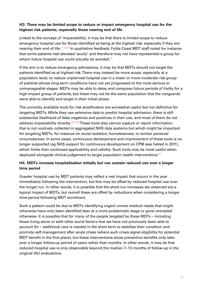### **H3. There may be limited scope to reduce or impact emergency hospital use for the highest risk patients, especially those nearing end of life**

Linked to the concept of 'impactability', it may be that there is limited scope to reduce emergency hospital use for those identified as being at the highest risk, especially if they are nearing their end of life.[10,](#page-47-10)[36](#page-48-15)[,46](#page-49-4) In qualitative feedback, Fylde Coast MDT staff noted for instance that some patients had elevated 'acuity' and therefore may not have represented a group for whom future hospital use could actually be avoided.<sup>[16](#page-47-16)</sup>

If the aim is to reduce emergency admissions, it may be that MDTs should not target the patients identified as at highest risk. There may instead be more scope, especially at a population level, to reduce unplanned hospital use in a lower or more moderate risk group of patients whose long-term conditions have not yet progressed to the most serious or unmanageable stages. MDTs may be able to delay and compress future periods of frailty for a high-impact group of patients, but these may not be the same population that the vanguards were able to identify and target in their initial phase.

The currently available tools for risk stratification are somewhat useful but not definitive for targeting MDTs. While they use extensive data to predict hospital admission, there is still substantial likelihood of false negatives and positives in their use, and most of them do not address impactability directly.<sup>[10,](#page-47-10)[47](#page-49-5)[,48](#page-49-6)</sup> These tools also cannot capture or report information that is not routinely collected in aggregated NHS data systems but which might be important for targeting MDTs, for instance on social isolation, homelessness, or similar personal circumstances. In some cases, continuous development and improvement of these tools is no longer supported (eg NHS support for continuous development on CPM was halted in 2011), which limits their continued applicability and validity. Such tools may be most useful when deployed alongside clinical judgement to target population health interventions.<sup>[49](#page-49-7)</sup>

### **H4. MDTs increase hospitalisation initially but can sustain reduced use over a longer time period**

Greater hospital use by MDT patients may reflect a real impact that occurs in the year immediately following the intervention, but this may be offset by reduced hospital use over the longer run. In other words, it is possible that the short-run increases we observed are a typical impact of MDTs, but overall these are offset by reductions when considering a longer time period following MDT enrolment.

Such a pattern could be due to MDTs identifying urgent unmet medical needs that might otherwise have only been identified later at a more problematic stage or gone untreated otherwise. It is possible that for many of the people targeted by these MDTs – including those living alone or with other social factors that we have not previously been able to account for – additional care is needed in the short term to stabilise their condition and promote self-management after acute crises (where such crises signal eligibility for potential MDT benefit in the first place), but these interventions show preventive benefits only later over a longer follow-up period of years rather than months. In other words, it may be that reduced hospital use is only observable beyond the median 7–13 months of follow-up in the original IAU evaluations.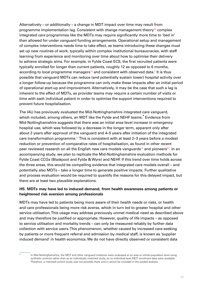Alternatively – or additionally – a change in MDT impact over time may result from programme implementation lag. Consistent with change management theory<sup>[50](#page-49-8)</sup> complex integrated care programmes like the MDTs may require significantly more time to 'bed in' than allowed for under vanguard funding arrangements. Operational setup and management of complex interventions needs time to take effect, as teams introducing these changes must set up new routines of work, typically within complex institutional bureaucracies, with staff learning from experience and monitoring over time about how to optimise their delivery to achieve strategic aims. For example, in Fylde Coast ECS, the first recruited patients were typically enrolled for longer than current patients, roughly 12 as opposed to 6 months, according to local programme managers $^{\textrm{16}}$  $^{\textrm{16}}$  $^{\textrm{16}}$  and consistent with observed data. $^{\textrm{5}}$  $^{\textrm{5}}$  $^{\textrm{5}}$  It is thus possible that vanguard MDTs can reduce (and potentially sustain lower) hospital activity over a longer follow-up because the programme can only make these impacts after an initial period of operational start-up and improvement. Alternatively, it may be the case that such a lag is inherent to the effect of MDTs, as provider teams may require a certain number of visits or time with each individual patient in order to optimise the support interventions required to prevent future hospitalisation.

The IAU has previously evaluated the Mid-Nottinghamshire integrated care vanguard, which included, among others, an MDT like the Fylde and NEHF teams.<sup>\*</sup> Evidence from Mid-Nottinghamshire suggests that there was an initial area-level increase in emergency hospital use, which was followed by a decrease in the longer term, apparent only after about 2 years after approval of the vanguard and 4–5 years after initiation of the integrated care transformation programme.<sup>[51](#page-49-9)</sup> This is consistent with at least 2-3 years before a modest reduction or prevention of comparative rates of hospitalisation, as found in other recent peer reviewed research on all the English new care models vanguards<sup>[19](#page-47-19)</sup> and pioneers<sup>[52](#page-49-10)</sup>. In an accompanying study, we plan to replicate the Mid-Nottinghamshire evaluation methods for Fylde Coast CCGs (Blackpool and Fylde & Wyre) and NEHF. If this trend over time holds across the three areas, this would be compelling evidence that integrated care models overall – and potentially also MDTs – take a longer time to generate positive impacts. Further qualitative and process evaluation would be required to quantify the reasons for this delayed impact, but there are at least two plausible explanations.

### **H5. MDTs may have led to induced demand, from health awareness among patients or heightened risk aversion among professionals**

MDTs may have led to patients being more aware of their health needs or risks, or health and care professionals being more risk averse, which in turn led to greater hospital and other service utilisation. This usage may address previously unmet medical need as described above and may therefore be justified or appropriate. However, quality of life impacts – as opposed to service utilisation and mortality trends – can only be measured reliably by further data collection with service users. This phenomenon, whether caused by increased care-seeking by patients or more frequent referral and admission by medical staff, is known as 'supplier induced demand' in health economics. We do not have directly observed or consistent data

In Mid-Nottinghamshire, the MDT and other vanguard initiatives were evaluated at an area or whole-population level using synthetic controls rather than as an individually matched study, as no individual-level MDT enrolment data were available. Therefore, a matched-control study was not possible there and it cannot be included in the pooled analysis.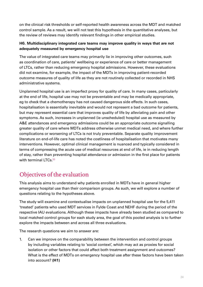<span id="page-23-0"></span>on the clinical risk thresholds or self-reported health awareness across the MDT and matched control sample. As a result, we will not test this hypothesis in the quantitative analyses, but the review of reviews may identify relevant findings in other empirical studies.

### **H6. Multidisciplinary integrated care teams may improve quality in ways that are not adequately measured by emergency hospital use**

The value of integrated care teams may primarily lie in improving other outcomes, such as coordination of care, patients' wellbeing or experience of care or better management of LTCs, rather than reducing emergency hospital admissions. However, these evaluations did not examine, for example, the impact of the MDTs in improving patient-recorded outcome measures of quality of life as they are not routinely collected or recorded in NHS administrative systems.

Unplanned hospital use is an imperfect proxy for quality of care. In many cases, particularly at the end of life, hospital use may not be preventable and may be medically appropriate, eg to check that a chemotherapy has not caused dangerous side effects. In such cases, hospitalisation is essentially inevitable and would not represent a bad outcome for patients, but may represent essential care that improves quality of life by alleviating pain and other symptoms. As such, increases in unplanned (ie unscheduled) hospital use as measured by A&E attendances and emergency admissions could be an appropriate outcome signalling greater quality of care where MDTs address otherwise unmet medical need, and where further complications or worsening of LTCs is not truly preventable. Separate quality improvement literature on end-of-life care has noted the costliness of hospitalisation that motivates many interventions. However, optimal clinical management is nuanced and typically considered in terms of compressing the acute use of medical resources at end of life, ie in reducing length of stay, rather than preventing hospital attendance or admission in the first place for patients with terminal LTCs.<sup>[53](#page-49-11)</sup>

## Objectives of the evaluation

This analysis aims to understand why patients enrolled in MDTs have in general higher emergency hospital use than their comparison groups. As such, we will explore a number of questions relating to the hypotheses above.

The study will examine and contextualise impacts on unplanned hospital use for the 5,411 'treated' patients who used MDT services in Fylde Coast and NEHF during the period of the respective IAU evaluations. Although these impacts have already been studied as compared to local matched control groups for each study area, the goal of this pooled analysis is to further explore the impacts between and across all three evaluations.

The research questions we aim to answer are:

1. Can we improve on the comparability between the intervention and control groups by including variables relating to 'social context', which may act as proxies for social isolation or other factors that could affect both treatment assignment and outcomes? What is the effect of MDTs on emergency hospital use after these factors have been taken into account? **(H1)**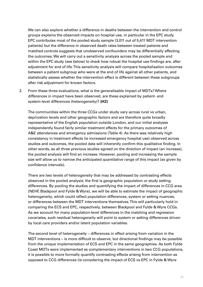We can also explore whether a difference in deaths between the intervention and control groups explains the observed impacts on hospital use, in particular in the EPC study. EPC contributes most of the pooled study sample (3,011 out of 5,411 MDT intervention patients) but the difference in observed death rates between treated patients and matched controls suggests that unobserved confounders may be differentially affecting the outcomes. We will carry out a sensitivity analysis across the pooled sample and within the EPC study (see below) to check how robust the hospital use findings are, after adjustment for end of life. This sensitivity analysis will compare hospitalisation outcomes between a patient subgroup who were at the end of life against all other patients, and statistically assess whether the intervention effect is different between these subgroups after risk adjustment for known factors.

2. From these three evaluations, what is the generalisable impact of MDTs? Where differences in impact have been observed, are these explained by patient- and system-level differences (heterogeneity)? **(H2)**

The communities within the three CCGs under study vary across rural vs urban, deprivation levels and other geographic factors and are therefore quite broadly representative of the English population outside London, and our initial analyses independently found fairly similar treatment effects for the primary outcomes of A&E attendances and emergency admissions (Table 4). As there was relatively high consistency in treatment effects (ie increased emergency hospital use) observed across studies and outcomes, the pooled data will inherently confirm this qualitative finding. In other words, as all three previous studies agreed on the direction of impact (an increase), the pooled analysis will find an increase. However, pooling and increasing the sample size will allow us to narrow the anticipated quantitative range of this impact (as given by confidence intervals).

There are two levels of heterogeneity that may be addressed by contrasting effects observed in the pooled analysis: the first is geographic population or study setting differences. By pooling the studies and quantifying the impact of differences in CCG area (NEHF, Blackpool and Fylde & Wyre), we will be able to estimate the impact of geographic heterogeneity, which could reflect population differences, system or setting nuances, or differences between the MDT interventions themselves. This will particularly hold in comparing the ECS and EPC, respectively, between Blackpool and Fylde & Wyre CCGs. As we account for many population-level differences in the matching and regression covariates, such residual heterogeneity will point to system or setting differences driven by local care providers and/or latent population variables.

The second level of heterogeneity – differences in effect arising from variation in the MDT interventions – is more difficult to observe, but directional findings may be possible from the unique implementation of ECS and EPC in the same geographies. As both Fylde Coast MDTs were implemented as complementary interventions in two CCG populations, it is possible to more formally quantify contrasting effects arising from intervention as opposed to CCG differences (ie considering the impact of ECS vs EPC in Fylde & Wyre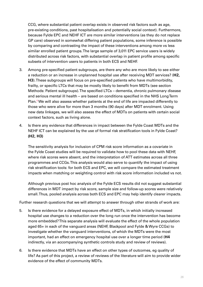CCG, where substantial patient overlap exists in observed risk factors such as age, pre-existing conditions, past hospitalisation and potentially social context). Furthermore, because Fylde EPC and NEHF ICT are more similar interventions (as they do not replace GP care) observed in somewhat differing patient populations, some inference is possible by comparing and contrasting the impact of these interventions among more vs less similar enrolled patient groups. The large sample of 3,011 EPC service users is widely distributed across risk factors, with substantial overlap in patient profile among specific subsets of intervention users to patients in both ECS and NEHF.

- 3. Among pre-specified patient subgroups, are there any who are more likely to see either a reduction or an increase in unplanned hospital use after receiving MDT services? (**H2, H3**). These subgroups will focus on pre-specified patients who have multimorbidity, frailty, or specific LTCs that may be mostly likely to benefit from MDTs (see section Methods: Patient subgroups). The specified LTCs – dementia, chronic pulmonary disease and serious mental ill health – are based on conditions specified in the NHS Long Term Plan.<sup>8</sup>We will also assess whether patients at the end of life are impacted differently to those who were alive for more than 3 months (90 days) after MDT enrolment. Using new data linkages, we will also assess the effect of MDTs on patients with certain social context factors, such as living alone.
- 4. Is there any evidence that differences in impact between the Fylde Coast MDTs and the NEHF ICT can be explained by the use of formal risk stratification tools in Fylde Coast? **(H2, H3)**

The sensitivity analysis for inclusion of CPM risk score information as a covariate in the Fylde Coast studies will be required to validate how to pool these data with NEHF, where risk scores were absent, and the interpretation of ATT estimates across all three programmes and CCGs. This analysis would also serve to quantify the impact of using risk stratification tools: for both ECS and EPC, we will compare the estimated treatment impacts when matching or weighting control with risk score information included vs not.

Although previous post hoc analysis of the Fylde ECS results did not suggest substantial differences in MDT impact by risk score, sample size and follow-up scores were relatively small. Thus, pooled analysis across both ECS and EPC may help identify clearer impacts.

Further research questions that we will attempt to answer through other strands of work are:

- 5. Is there evidence for a delayed exposure effect of MDTs, in which initially increased hospital use changes to a reduction over the long run once the intervention has become more embedded? This separate analysis will evaluate the effect of the whole population aged 65+ in each of the vanguard areas (NEHF, Blackpool and Fylde & Wyre CCGs) to investigate whether the vanguard interventions, of which the MDTs were the most important, had an effect on emergency hospital use over a longer time period (**H4** indirectly, via an accompanying synthetic controls study and review of reviews).
- 6. Is there evidence that MDTs have an effect on other types of outcomes, eg quality of life? As part of this project, a review of reviews of the literature will aim to provide wider evidence of the effect of community MDTs.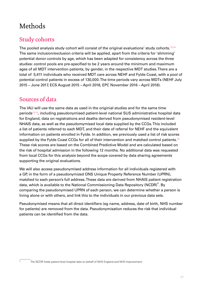# <span id="page-26-0"></span>Methods

## Study cohorts

The pooled analysis study cohort will consist of the original evaluations' study cohorts.<sup>[13,](#page-47-13)[14](#page-47-14)</sup> The same inclusion/exclusion criteria will be applied, apart from the criteria for 'slimming' potential donor controls by age, which has been adapted for consistency across the three studies: control pools are pre-specified to be 2 years around the minimum and maximum ages of all MDT intervention patients, by gender, in the respective MDT studies. There are a total of 5,411 individuals who received MDT care across NEHF and Fylde Coast, with a pool of potential control patients in excess of 130,000. The time periods vary across MDTs (NEHF July 2015 – June 2017, ECS August 2015 – April 2018, EPC November 2016 – April 2018).

## Sources of data

The IAU will use the same data as used in the originial studies and for the same time periods[13](#page-47-13),[14](#page-47-14), including pseudonymised patient-level national SUS administrative hospital data for England, data on registrations and deaths derived from pseudonymised resident-level NHAIS data, as well as the pseudomymised local data supplied by the CCGs. This included a list of patients referred to each MDT, and their date of referral for NEHF and the equivalent information on patients enrolled in Fylde. In addition, we previously used a list of risk scores supplied by the Fylde Coast CCGs for all of their intervention and matched control patients.<sup>[14](#page-47-14)</sup> These risk scores are based on the Combined Predictive Model and are calculated based on the risk of hospital admission in the following 12 months. No additional data was requested from local CCGs for this analysis beyond the scope covered by data sharing agreements supporting the original evaluations.

We will also access pseudonymised address information for all individuals registered with a GP, in the form of a pseudonymized ONS Unique Property Reference Number (UPRN), matched to each person's full address. These data are derived from NHAIS patient registration data, which is available to the National Commissioning Data Repository (NCDR)\*. By comparing the pseudonymised UPRN of each person, we can determine whether a person is living alone or with others, and link this to the individuals in our previous data sets.

Pseudonymised means that all direct identifiers (eg name, address, date of birth, NHS number for patients) are removed from the data. Pseudonymisation reduces the risk that individual patients can be identified from the data.

The NCDR holds patient-level hospital data on behalf of NHS England and NHS Improvement.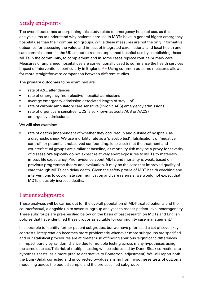## <span id="page-27-0"></span>Study endpoints

The overall outcomes underpinning this study relate to emergency hospital use, as this analysis aims to understand why patients enrolled in MDTs have in general higher emergency hospital use than their comparison groups. While these measures are not the only informative outcomes for assessing the value and impact of integrated care, national and local health and care commissioners in the UK set out to reduce unplanned hospital use by establishing these MDTs in the community, to complement and in some cases replace routine primary care. Measures of unplanned hospital use are conventionally used to summarise the health services impact of interventions, particularly in England.<sup>[54](#page-49-12),[55](#page-49-13)</sup> Using common outcome measures allows for more straightforward comparison between different studies.

The **primary outcomes** to be examined are:

- rate of A&E attendances
- rate of emergency (non-elective) hospital admissions
- average emergency admission associated length of stay (LoS)
- rate of chronic ambulatory care sensitive (chronic ACS) emergency admissions
- rate of urgent care sensitive (UCS, also known as acute ACS or AACS) emergency admissions.

We will also examine:

rate of deaths (independent of whether they occurred in and outside of hospital), as a diagnostic check. We use mortality rate as a 'placebo test', 'falsification', or 'negative control' for potential unobserved confounding, ie to check that the treatment and counterfactual groups are similar at baseline, as mortality risk may be a proxy for severity of disease. We typically do not expect relatively short exposures to MDTs to materially impact life expectancy. Prior evidence about MDTs and mortality is weak; based on previous programme theory and evaluation, it may be the case that improved quality of care through MDTs can delay death. Given the safety profile of MDT health coaching and interventions to coordinate communication and care referrals, we would not expect that MDTs plausibly increase deaths.

## Patient subgroups

These analyses will be carried out for the overall population of MDT-treated patients and the counterfactual, alongside up to seven subgroup analyses to assess patient-level heterogeneity. These subgroups are pre-specified below on the basis of past research on MDTs and English policies that have identified these groups as suitable for community case management.<sup>[8](#page-47-8)</sup>

It is possible to identify further patient subgroups, but we have prioritised a set of seven key contrasts. Interpretation becomes more problematic whenever more subgroups are specified, and our statistical procedures are at greater risk of finding spurious 'significant' differences in impact purely by random chance due to multiple testing across many hypotheses using the same data set. This risk of multiple testing will be addressed by Dunn-Sidak corrections to hypothesis tests (as a more precise alternative to Bonferroni adjustment). We will report both the Dunn-Sidak corrected and uncorrected p-values arising from hypotheses tests of outcome modelling across the pooled sample and the pre-specified subgroups.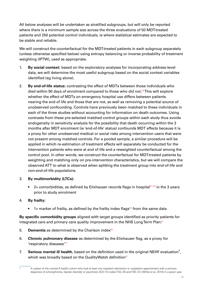All below analyses will be undertaken as stratified subgroups, but will only be reported where there is a minimum sample size across the three evaluations of 50 MDT-treated patients and 250 potential control individuals, ie where statistical estimates are expected to be stable and reliable.

We will construct the counterfactual for the MDT-treated patients in each subgroup separately (unless otherwise specified below) using entropy balancing or inverse probability of treatment weighting (IPTW), used as appropriate.

- 1. **By social context:** based on the exploratory analyses for incorporating address-level data, we will determine the most useful subgroup based on the social context variables identified (eg living alone).
- 2. **By end-of-life status:** contrasting the effect of MDTs between those individuals who died within 90 days of enrolment compared to those who did not.[56](#page-49-14) This will explore whether the effect of MDTs on emergency hospital use differs between patients nearing the end of life and those that are not, as well as removing a potential source of unobserved confounding. Controls have previously been matched to these individuals in each of the three studies without accounting for information on death outcomes. Using contrasts from these pre-selected matched control groups within each study thus avoids endogeneity in sensitivity analysis for the possibility that death occurring within the 3 months after MDT enrolment (ie 'end-of-life' status) confounds MDT effects because it is a proxy for other unobserved medical or social risks among intervention users that were not present among matched controls. For a pooled sample, a similar procedure will be applied in which re-estimation of treatment effects will separately be conducted for the intervention patients who were at end of life and a reweighted counterfactual among the control pool. In other words, we construct the counterfactual for MDT-treated patients by weighting and matching only on pre-intervention characteristics, but we will compare the observed ATT to what is observed when splitting the treatment group into end-of-life and non-end-of-life populations.
- 3. **By multimorbidity (LTCs):**
	- 2+ comorbidities, as defined by Elixhauser records flags in hospital $57,58$  $57,58$  in the 3 years prior to study enrolment

#### 4. **By frailty:**

• 1+ marker of frailty, as defined by the frailty index flags<sup>[59](#page-49-17)</sup> from the same data

**By specific comorbidity groups** aligned with target groups identified as priority patients for integrated care and primary care quality improvement in the NHS Long Term Plan.<sup>[8](#page-47-8)</sup>

- 5. **Dementia** as determined by the Charlson index $60$
- 6. **Chronic pulmonary disease** as determined by the Elixhauser flag, as a proxy for 'respiratory diseases'[57](#page-49-15)
- 7. **Serious mental ill health**, based on the definition used in the original NEHF evaluation\*, which was broadly based on the QualityWatch definition<sup>[61](#page-49-19)</sup>

A subset of the mental ill health cohort who had at least one inpatient admission or outpatient appointment with a primary diagnosis of schizophrenia, bipolar disorder or psychosis (ICD-10 codes F20–29 and F30–31) (White et al, 2014) in a given year.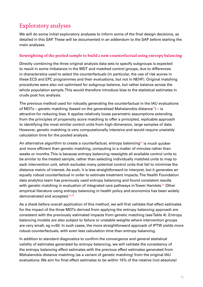## <span id="page-29-0"></span>Exploratory analyses

We will do some initial exploratory analyses to inform some of the final design decisions, as detailed in this SAP. These will be documented in an addendum to the SAP before starting the main analyses.

#### **Reweighting of the pooled sample to build a new counterfactual using entropy balancing**

Directly combining the three original analysis data sets to specify subgroups is expected to result in some imbalance in the MDT and matched control groups, due to differences in characterstics used to select the counterfactuals (in particular, the use of risk scores in these ECS and EPC programmes and their evaluations, but not in NEHF). Original matching procedures were also not optimised for subgroup balance, but rather balance across the whole population sample. This would therefore introduce bias to the statistical estimates in crude post hoc analysis.

The previous method used for robustly generating the counterfactual in the IAU evaluations of MDTs – genetic matching (based on the generalised Mahalanobis distance<sup>[22](#page-48-1)</sup>) – is attractive for reducing bias. It applies relatively loose parametric assumptions extending from the principles of propensity score matching to offer a principled, replicable approach to identifying the most similar control units from high-dimension, large samples of data. However, genetic matching is very computationally intensive and would require unwieldy calculation time for the pooled analysis.

An alternative algorithm to create a counterfactual, entropy balancing $62$  is much quicker and more efficient than genetic matching, computing in a matter of minutes rather than weeks or months. This is because entropy balancing reweights all available control units to be similar to the treated sample, rather than selecting individually matched units to map to each intervention unit, which excludes many potential control units that fail to minimise the distance metric of interest. As such, it is less straightforward to interpret, but it generates an equally robust counterfactual in order to estimate treatment impacts. The Health Foundation data analytics team has previously used entropy balancing and found consistent results with genetic matching in evaluation of integrated care pathways in Tower Hamlets.<sup>[63](#page-50-0)</sup> Other empirical literature using entropy balancing in health policy and economics has been widely demonstrated and accepted.[64,](#page-50-1)[65](#page-50-2)

As a check before overall application of this method, we will first validate that effect estimates for the impact of the three MDTs derived from applying the entropy balancing approach are consistent with the previously estimated impacts from genetic matching (see Table 4). Entropy balancing models are also subject to failure or unstable weights where intervention groups are very small, eg n<50. In such cases, the more straightforward approach of IPTW yields more robust counterfactuals, with even less calculation time than entropy balancing.

In addition to standard diagnostics to confirm the convergence and general statistical validity of estimates generated by entropy balancing, we will validate the consistency of the entropy balancing effect estimates with the previous effect estimates generated from Mahalanobis distance matching (as a variant of genetic matching) from the original IAU evaluations. We aim for final effect estimates to be within 15% of the relative (not absolute)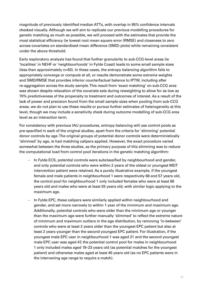magnitude of previously identified median ATTs, with overlap in 95% confidence intervals checked visually. Although we will aim to replicate our previous modelling procedures for genetic matching as much as possible, we will proceed with the estimates that provide the most statistical efficiency (ie lowest root mean square error (RMSE) and closeness to zero across covariates on standardised mean difference (SMD) plots) while remaining consistent under the above threshold.

Early exploratory analysis has found that further granularity to sub-CCG-level areas (ie 'localities' in NEHF or 'neighbourhoods' in Fylde Coast) leads to some small sample sizes (less than approximately n=50). In these cases, the entropy balancing algorithm fails to appropriately converge or compute at all, or results demonstrate some extreme weights and SMD/RMSE that provides inferior counterfactual balance to IPTW, including after re-aggregation across the study sample. This result from 'exact matching' on sub-CCG area was shown despite relaxation of the covariate sets during reweighting to allow for as low as 70% predictiveness of the propensity to treatment and outcomes of interest. As a result of the lack of power and precision found from the small sample sizes when pooling from sub-CCG areas, we do not plan to use these results or pursue further estimates of heterogeneity at this level, though we may include a sensitivity check during outcome modelling of sub-CCG area level as an interaction term.

For consistency with previous IAU procedures, entropy balancing will use control pools as pre-specified in each of the original studies, apart from the criteria for 'slimming' potential donor controls by age. The original groups of potential donor controls were deterministically 'slimmed' by age, ie had matching calipers applied. However, the exact procedure varied somewhat between the three studies, as the primary purpose of this slimming was to reduce the computational load from control pool iterations in the genetic matching algorithm:

- In Fylde ECS, potential controls were subclassified by neighbourhood and gender, and only potential controls who were within 2 years of the oldest or youngest MDT intervention patient were retained. As a purely illustrative example, if the youngest female and male patients in neighbourhood 1 were respectively 68 and 57 years old, the control pool for neighbourhood 1 only included females who were at least 66 years old and males who were at least 55 years old, with similar logic applying to the maximum age.
- In Fylde EPC, these calipers were similarly applied within neighbourhood and gender, and set more narrowly to within 1 year of the minimum and maximum age. Additionally, potential controls who were older than the minimum age or younger than the maximum age were further manually 'slimmed' to reflect the extreme nature of minimum and maximum outliers in the age distribution, by removing 'in-between' controls who were at least 2 years older than the youngest EPC patient but also at least 2 years younger than the second youngest EPC patient. For illustration, if the youngest male EPC user in neighbourhood 1 was aged 21 and the second youngest male EPC user was aged 47, the potential control pool for males in neighbourhood 1 only included males aged 19–23 years old (as potential matches for the youngest patient) and otherwise males aged at least 45 years old (as no EPC patients were in the intervening age range to require a match).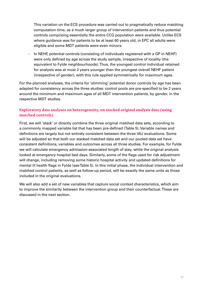<span id="page-31-0"></span>This variation on the ECS procedure was carried out to pragmatically reduce matching computation time, as a much larger group of intervention patients and thus potential controls comprising essentially the entire CCG population were available. Unlike ECS where guidance was for patients to be at least 60 years old, in EPC all adults were eligible and some MDT patients were even minors.

– In NEHF, potential controls (consisting of individuals registered with a GP in NEHF) were only defined by age across the study sample, irrespective of locality (the equivalent to Fylde neighbourhoods). Thus, the youngest control individual retained for analysis was at most 2 years younger than the youngest overall NEHF patient (irrespective of gender), with this rule applied symmetrically for maximum ages.

For the planned analyses, the criteria for 'slimming' potential donor controls by age has been adapted for consistency across the three studies: control pools are pre-specified to be 2 years around the minimum and maximum ages of all MDT intervention patients, by gender, in the respective MDT studies.

### **Exploratory data analyses on heterogeneity, on stacked original analysis data (using matched controls)**

First, we will 'stack' or directly combine the three original matched data sets, according to a commonly mapped variable list that has been pre-defined (Table 5). Variable names and definitions are largely but not entirely consistent between the three IAU evaluations. Some will be adjusted so that both our stacked matched data set and our pooled data set have consistent definitions, variables and outcomes across all three studies. For example, for Fylde we will calculate emergency admission-associated length of stay, while the original analysis looked at emergency hospital bed days. Similarly, some of the flags used for risk adjustment will change, including removing some historic hospital activity and updated definitions for mental ill health flags in Fylde (see Table 5). In this initial phase, the individual intervention and matched control patients, as well as follow-up period, will be exactly the same units as those included in the original evaluations.

We will also add a set of new variables that capture social context characteristics, which aim to improve the similarity between the intervention group and their counterfactual. These are discussed in the next section.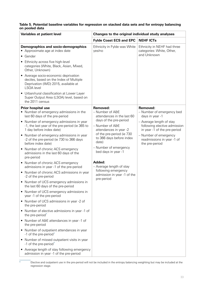#### **Table 5. Potential baseline variables for regression on stacked data sets and for entropy balancing on pooled data**

| Variables at patient level                                                                                                                   | Changes to the original individual study analyses                                                                                                                                                                                                                                                                                                |                                                                                          |                                              |
|----------------------------------------------------------------------------------------------------------------------------------------------|--------------------------------------------------------------------------------------------------------------------------------------------------------------------------------------------------------------------------------------------------------------------------------------------------------------------------------------------------|------------------------------------------------------------------------------------------|----------------------------------------------|
|                                                                                                                                              | <b>Fylde Coast ECS and EPC</b>                                                                                                                                                                                                                                                                                                                   | <b>NEHF ICTs</b>                                                                         |                                              |
| Demographics and socio-demographics<br>• Approximate age at index date                                                                       | Ethnicity in Fylde was White<br>yes/no                                                                                                                                                                                                                                                                                                           | Ethnicity in NEHF had three<br>categories: White, Other,<br>and Unknown                  |                                              |
| • Gender                                                                                                                                     |                                                                                                                                                                                                                                                                                                                                                  |                                                                                          |                                              |
| • Ethnicity across five high-level<br>categories (White, Black, Asian, Mixed,<br>Other, Unknown)                                             |                                                                                                                                                                                                                                                                                                                                                  |                                                                                          |                                              |
| • Average socio-economic deprivation<br>deciles, based on the Index of Multiple<br>Deprivation (IMD) 2015, available at<br><b>LSOA</b> level |                                                                                                                                                                                                                                                                                                                                                  |                                                                                          |                                              |
| • Urban/rural classification at Lower Layer<br>Super Output Area (LSOA) level, based on<br>the 2011 census                                   |                                                                                                                                                                                                                                                                                                                                                  |                                                                                          |                                              |
| <b>Prior hospital use</b>                                                                                                                    | Removed:                                                                                                                                                                                                                                                                                                                                         | Removed:                                                                                 |                                              |
| • Number of emergency admissions in the<br>last 60 days of the pre-period                                                                    | - Number of A&E<br>attendances in the last 60<br>days of the pre-period<br>- Number of A&E<br>attendances in year -2<br>of the pre-period (ie 730<br>to 366 days before index<br>date)<br>- Number of emergency<br>bed days in year -1<br>Added:<br>- Average length of stay<br>following emergency<br>admission in year -1 of the<br>pre-period |                                                                                          | - Number of emergency bed<br>days in year -1 |
| • Number of emergency admissions in year<br>-1, the last year of the pre-period (ie 365 to<br>1 day before index date)                       |                                                                                                                                                                                                                                                                                                                                                  | - Average length of stay<br>following elective admission<br>in year -1 of the pre-period |                                              |
| • Number of emergency admissions in year<br>-2 of the pre-period (ie 730 to 366 days<br>before index date)                                   |                                                                                                                                                                                                                                                                                                                                                  | - Number of emergency<br>readmissions in year -1 of<br>the pre-period                    |                                              |
| • Number of chronic ACS emergency<br>admissions in the last 60 days of the<br>pre-period                                                     |                                                                                                                                                                                                                                                                                                                                                  |                                                                                          |                                              |
| • Number of chronic ACS emergency<br>admissions in year -1 of the pre-period                                                                 |                                                                                                                                                                                                                                                                                                                                                  |                                                                                          |                                              |
| • Number of chronic ACS admissions in year<br>-2 of the pre-period                                                                           |                                                                                                                                                                                                                                                                                                                                                  |                                                                                          |                                              |
| • Number of UCS emergency admissions in<br>the last 60 days of the pre-period                                                                |                                                                                                                                                                                                                                                                                                                                                  |                                                                                          |                                              |
| • Number of UCS emergency admissions in<br>year -1 of the pre-period                                                                         |                                                                                                                                                                                                                                                                                                                                                  |                                                                                          |                                              |
| • Number of UCS admissions in year -2 of<br>the pre-period                                                                                   |                                                                                                                                                                                                                                                                                                                                                  |                                                                                          |                                              |
| Number of elective admissions in year -1 of<br>the pre-period*                                                                               |                                                                                                                                                                                                                                                                                                                                                  |                                                                                          |                                              |
| • Number of A&E attendances in year -1 of<br>the pre-period                                                                                  |                                                                                                                                                                                                                                                                                                                                                  |                                                                                          |                                              |
| • Number of outpatient attendances in year<br>-1 of the pre-period*                                                                          |                                                                                                                                                                                                                                                                                                                                                  |                                                                                          |                                              |
| • Number of missed outpatient visits in year<br>-1 of the pre-period*                                                                        |                                                                                                                                                                                                                                                                                                                                                  |                                                                                          |                                              |
| • Average length of stay following emergency<br>admission in year -1 of the pre-period                                                       |                                                                                                                                                                                                                                                                                                                                                  |                                                                                          |                                              |

Elective and outpatient use in the pre-period will not be included in the entropy balancing weighting but may be included at the regression stage.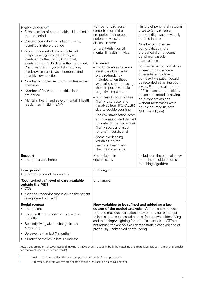| Health variables*<br>• Elixhauser list of comorbidities, identified in<br>the pre-period<br>• Specific comorbidities linked to frailty,<br>identified in the pre-period<br>• Selected comorbidities predictive of<br>hospital emergency admission, as<br>identified by the IPAEOPGP model,<br>identified from SUS data in the pre-period:<br>Charlson index, myocardial infarction,<br>cerebrovascular disease, dementia and<br>cognitive dysfunction<br>• Number of Elixhauser comorbidities in the<br>pre-period<br>• Number of frailty comorbidities in the<br>pre-period<br>Mental ill health and severe mental ill health<br>(as defined in NEHF SAP) | Number of Elixhauser<br>comorbidities in the<br>pre-period did not count<br>peripheral vascular<br>disease in error<br>Different definition of<br>mental ill health in Fylde<br>Removed:<br>- Frailty variables delirium,<br>senility and dementia<br>were redundantly<br>included when these<br>were also captured using<br>the composite variable<br>cognitive impairment<br>- Number of comorbidities<br>(frailty, Elixhauser and<br>variables from IPOPAEGP)<br>due to double counting<br>- The risk stratification score<br>and the associated derived<br>GP data for the risk scores<br>(frailty score and list of<br>long-term conditions)<br>- Some overlapping<br>variables, eg for<br>mental ill health and<br>rheumatoid arthritis | History of peripheral vascular<br>disease (an Elixhauser<br>comorbidity) was previously<br>omitted in error<br>Number of Elixhauser<br>comorbidities in the<br>pre-period did not count<br>peripheral vascular<br>disease in error<br>For Elixhauser comorbidities<br>where conditions were<br>differentiated by level of<br>complexity, a patient could<br>be recorded as having both<br>levels. For the total number<br>of Elixhauser comorbidities,<br>patients recorded as having<br>both cancer with and<br>without metastases were<br>double counted (in both<br>NEHF and Fylde) |
|------------------------------------------------------------------------------------------------------------------------------------------------------------------------------------------------------------------------------------------------------------------------------------------------------------------------------------------------------------------------------------------------------------------------------------------------------------------------------------------------------------------------------------------------------------------------------------------------------------------------------------------------------------|-----------------------------------------------------------------------------------------------------------------------------------------------------------------------------------------------------------------------------------------------------------------------------------------------------------------------------------------------------------------------------------------------------------------------------------------------------------------------------------------------------------------------------------------------------------------------------------------------------------------------------------------------------------------------------------------------------------------------------------------------|----------------------------------------------------------------------------------------------------------------------------------------------------------------------------------------------------------------------------------------------------------------------------------------------------------------------------------------------------------------------------------------------------------------------------------------------------------------------------------------------------------------------------------------------------------------------------------------|
| <b>Support</b><br>• Living in a care home                                                                                                                                                                                                                                                                                                                                                                                                                                                                                                                                                                                                                  | Not included in<br>original study                                                                                                                                                                                                                                                                                                                                                                                                                                                                                                                                                                                                                                                                                                             | Included in the original study<br>but using an older address<br>matching algorithm                                                                                                                                                                                                                                                                                                                                                                                                                                                                                                     |
| <b>Time period</b><br>Index date/period (by quarter)                                                                                                                                                                                                                                                                                                                                                                                                                                                                                                                                                                                                       | Unchanged                                                                                                                                                                                                                                                                                                                                                                                                                                                                                                                                                                                                                                                                                                                                     |                                                                                                                                                                                                                                                                                                                                                                                                                                                                                                                                                                                        |
| 'Counterfactual' level of care available<br>outside the MDT<br>$\bullet$ CCG<br>• Neighbourhood/locality in which the patient<br>is registered with a GP                                                                                                                                                                                                                                                                                                                                                                                                                                                                                                   | Unchanged                                                                                                                                                                                                                                                                                                                                                                                                                                                                                                                                                                                                                                                                                                                                     |                                                                                                                                                                                                                                                                                                                                                                                                                                                                                                                                                                                        |
| <b>Social context</b><br>• Living alone<br>• Living with somebody with dementia<br>or frailty <sup>†</sup><br>• Recently living alone (change in last<br>X months) <sup><math>\dagger</math></sup><br>Bereavement in last X months <sup>+</sup><br>• Number of moves in last 12 months                                                                                                                                                                                                                                                                                                                                                                     | New variables to be refined and added as a key<br>output of the pooled analysis $-ATT$ estimated effects<br>from the previous evaluations may or may not be robust<br>to inclusion of such social context factors when identifying<br>and matching/weighting for potential controls. If ATTs are<br>not robust, the analysis will demonstrate clear evidence of<br>previously unobserved confounding                                                                                                                                                                                                                                                                                                                                          |                                                                                                                                                                                                                                                                                                                                                                                                                                                                                                                                                                                        |

Note: these are potential covariates and may not all have been included in both the matching and regression stages in the original studies (see technical reports for further details).

\* Health variables are identified from hospital records in the 3-year pre-period.

† Exploratory analysis will establish exact definition (see section on social context).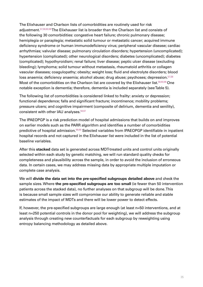The Elixhauser and Charlson lists of comorbidities are routinely used for risk adjustment.<sup>[57](#page-49-15)[,58](#page-49-16),[60,](#page-49-18)[66](#page-50-3)</sup> The Elixhauser list is broader than the Charlson list and consists of the following 30 comorbidities: congestive heart failure; chronic pulmonary disease; hemiplegia or paraplegia; metastatic solid tumour or metastatic cancer; acquired immune deficiency syndrome or human immunodeficiency virus; peripheral vascular disease; cardiac arrhythmias; valvular disease; pulmonary circulation disorders; hypertension (uncomplicated); hypertension (complicated); other neurological disorders; diabetes (uncomplicated); diabetes (complicated); hypothyroidism; renal failure; liver disease; peptic ulcer disease (excluding bleeding); lymphoma; solid tumour without metastasis, rheumatoid arthritis or collagen vascular diseases; coagulopathy; obesity; weight loss; fluid and electrolyte disorders; blood loss anaemia; deficiency anaemia; alcohol abuse; drug abuse; psychoses; depression.<sup>[57](#page-49-15),[58](#page-49-16)</sup> Most of the comorbidities on the Charlson list are covered by the Elixhauser list.<sup>[58,](#page-49-16)[60,](#page-49-18)[66](#page-50-3)</sup> One notable exception is dementia; therefore, dementia is included separately (see Table 5).

The following list of comorbidities is considered linked to frailty: anxiety or depression; functional dependence; falls and significant fracture; incontinence; mobility problems; pressure ulcers; and cognitive impairment (composite of delirium, dementia and senility), consistent with other IAU analyses.<sup>[59](#page-49-17),[67](#page-50-4)</sup>

The IPAEOPGP is a risk prediction model of hospital admissions that builds on and improves on earlier models such as the PARR algorithm and identifies a number of comorbidities predictive of hospital admission.<sup>[68](#page-50-5)[,69](#page-50-6)</sup> Selected variables from IPAEOPGP identifiable in inpatient hospital records and not captured in the Elixhauser list were included in the list of potential baseline variables.

After this **stacked** data set is generated across MDT-treated units and control units originally selected within each study by genetic matching, we will run standard quality checks for completeness and plausibility across the sample, in order to avoid the inclusion of erroneous data. In certain cases, we may address missing data by appropriate multiple imputation or complete case analysis.

We will **divide the data set into the pre-specified subgroups detailed above** and check the sample sizes. Where **the pre-specified subgroups are too small** (ie fewer than 50 intervention patients across the stacked data), no further analyses on that subgroup will be done. This is because small sample sizes will compromise our ability to generate reliable and stable estimates of the impact of MDTs and there will be lower power to detect effects.

If, however, the pre-specified subgroups are large enough (at least n=50 interventions, and at least n=250 potential controls in the donor pool for weighting), we will address the subgroup analysis through creating new counterfactuals for each subgroup by reweighting using entropy balancing methodology as detailed above.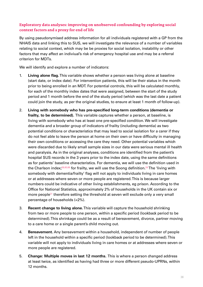### <span id="page-35-0"></span>**Exploratory data analyses: improving on unobserved confounding by exploring social context factors and a proxy for end of life**

By using pseudonymised address information for all individuals registered with a GP from the NHAIS data and linking this to SUS, we will investigate the relevance of a number of variables relating to social context, which may be be proxies for social isolation, instability or other factors that may affect an indiviual's risk of emergency hospital use and may be a referral criterion for MDTs.

We will identify and explore a number of indicators:

- 1. **Living alone flag.** This variable shows whether a person was living alone at baseline (start date, or index date). For intervention patients, this will be their status in the month prior to being enrolled in an MDT. For potential controls, this will be calculated monthly, for each of the monthly index dates that were assigned, between the start of the study period and 1 month before the end of the study period (which was the last date a patient could join the study, as per the original studies, to ensure at least 1 month of follow-up).
- 2. **Living with somebody who has pre-specified long-term conditions (dementia or frailty, to be determined).** This variable captures whether a person, at baseline, is living with somebody who has at least one pre-specified condition. We will investigate dementia and a broader group of indicators of frailty (including dementia) as two potential conditions or characteristics that may lead to social isolation for a carer if they do not feel able to leave the person at home on their own or have difficulty in managing their own conditions or accessing the care they need. Other potential variables which were discarded due to likely small sample sizes in our data were serious mental ill health and paralysis. As in the original analyses, conditions are identified from the patient's hospital SUS records in the 3 years prior to the index date, using the same definitions as for patients' baseline characteristics. For dementia, we will use the definition used in the Charlson index;<sup>[58](#page-49-16),[60,](#page-49-18)[66](#page-50-3)</sup> for frailty, we will use the Soong definition.<sup>[59](#page-49-17)</sup> The 'living with somebody with dementia/frailty' flag will not apply to individuals living in care homes or at addresses where seven or more people are registered. This is because larger numbers could be indicative of other living establishments, eg prison. According to the Office for National Statistics, approximately 2% of households in the UK contain six or more people<sup>[31](#page-48-10)</sup> therefore setting the threshold at seven will exclude only a very small percentage of households (<2%).
- 3. **Recent change to living alone.** This variable will capture the household shrinking from two or more people to one person, within a specific period (lookback period to be determined). This shrinkage could be as a result of bereavement, divorce, partner moving to a care home or a single parent's child moving out.
- 4. **Bereavement.** Any bereavement within a household, independent of number of people left in the household within a specific period (lookback period to be determined). This variable will not apply to individuals living in care homes or at addresses where seven or more people are registered.
- 5. **Change: Multiple moves in last 12 months.** This is where a person changed address at least twice, as identified as having had three or more different pseudo-UPRNs, within 12 months.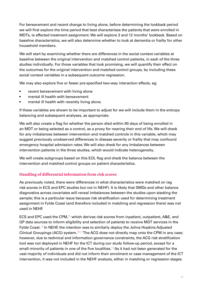<span id="page-36-0"></span>For bereavement and recent change to living alone, before determining the lookback period we will first explore the time period that best characterises the patients that were enrolled in MDTs, ie affected treatment assignment. We will explore 3 and 12 months' lookback. Based on baseline characteristics, we will also determine whether to look at dementia or frailty for other household members.

We will start by examining whether there are differences in the social context variables at baseline between the original intervention and matched control patients, in each of the three studies individually. For those variables that look promising, we will quantify their effect on the outcomes for the original intervention and matched control groups, by including these social context variables in a subsequent outcome regression.

We may also explore five or fewer pre-specified two-way interaction effects, eg:

- recent bereavement with living alone
- mental ill health with bereavement
- mental ill health with recently living alone.

If these variables are shown to be important to adjust for we will include them in the entropy balancing and subsequent analyses, as appropriate.

We will also create a flag for whether the person died within 90 days of being enrolled in an MDT or being selected as a control, as a proxy for nearing their end of life. We will check for any imbalances between intervention and matched controls in this variable, which may suggest previously unobserved differences in disease severity or frailty that may confound emergency hospital admission rates. We will also check for any imbalances between intervention patients in the three studies, which would indicate heterogeneity.

We will create subgroups based on this EOL flag and check the balance between the intervention and matched control groups on patient characteristics.

### **Handling of differential information from risk scores**

As previously noted, there were differences in what characteristics were matched on (eg risk scores in ECS and EPC studies but not in NEHF). It is likely that SMDs and other balance diagnostics across covariates will reveal imbalances between the studies upon stacking the sample; this is a particular issue because risk stratification used for determining treatment assignment in Fylde Coast (and therefore included in matching and regression there) was not used in NEHF.

ECS and EPC used the CPM,[15](#page-47-15) which derives risk scores from inpatient, outpatient, A&E, and GP data sources to inform eligibility and selection of patients to receive MDT services in the Fylde Coast.[14](#page-47-14) In NEHF, the intention was to similarly deploy the Johns Hopkins Adjusted Clinical Groupings (ACG) system.<sup>[70,](#page-50-7)[71](#page-50-8)</sup> The ACG does not directly map onto the CPM in any case; however, due to technical and information governance constraints, the ACG risk stratification tool was not deployed in NEHF for the ICT during our study follow-up period, except for a small minority of patients in one of the five localities.<sup>[13](#page-47-13)</sup> As it had not been generated for the vast majority of individuals and did not inform their enrolment or case management of the ICT intervention, it was not included in the NEHF analysis, either in matching or regression stages.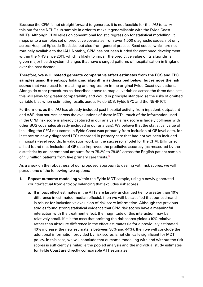Because the CPM is not straightforward to generate, it is not feasible for the IAU to carry this out for the NEHF sub-sample in order to make it generalisable with the Fylde Coast MDTs. Although CPM relies on conventional logistic regression for statistical modelling, it maps onto a complex set of predictive covariates from over 1,000 diagnostic codes, not only across Hospital Episode Statistics but also from general practice Read codes, which are not routinely available to the IAU. Notably, CPM has not been funded for continued development within the NHS since 2011, which is likely to impair the predictive value of its algorithms given major health system changes that have changed patterns of hospitalisation in England over the past decade.

Therefore, **we will instead generate comparative effect estimates from the ECS and EPC samples using the entropy balancing algorithm as described below, but remove the risk scores** that were used for matching and regression in the original Fylde Coast evaluations. Alongside other procedures as described above to map all variables across the three data sets, this will allow for greater comparability and would in principle standardise the risks of omitted variable bias when estimating results across Fylde ECS, Fylde EPC and the NEHF ICT.

Furthermore, as the IAU has already included past hospital activity from inpatient, outpatient and A&E data sources across the evaluations of these MDTs, much of the information used in the CPM risk score is already captured in our analysis (ie risk score is largely collinear with other SUS covariates already included in our analysis). We believe that the statistical value of including the CPM risk scores in Fylde Coast was primarily from inclusion of GP-level data, for instance on newly diagnosed LTCs recorded in primary care that had not yet been included in hospital-level records. In validation work on the successor model for the CPM, Billings et al had found that inclusion of GP data improved the predictive accuracy (as measured by the c-statistic) by an incremental amount, from 75.2% to 78.0% across the English patient sample of 1.8 million patients from five primary care trusts.<sup>[68](#page-50-5)</sup>

As a check on the robustness of our proposed approach to dealing with risk scores, we will pursue one of the following two options:

- 1. **Repeat outcome modelling** within the Fylde MDT sample, using a newly generated counterfactual from entropy balancing that excludes risk scores.
	- a. If impact effect estimates in the ATTs are largely unchanged (ie no greater than 10% difference in estimated median effects), then we will be satisfied that our estimand is robust for inclusion vs exclusion of risk score information. Although the previous studies found strong statistical evidence that CPM risk scores have a meaningful interaction with the treatment effect, the magnitude of this interaction may be relatively small. If it is the case that omitting the risk scores yields <10% relative rather than absolute difference in the effect estimates (ie for a previously estimated 40% increase, the new estimate is between 36% and 44%), then we will conclude the additional information provided by risk scores is not clinically significant for MDT policy. In this case, we will conclude that outcome modelling with and without the risk scores is sufficiently similar, ie the pooled analysis and the individual study estimates for Fylde Coast are directly comparable ATT estimates.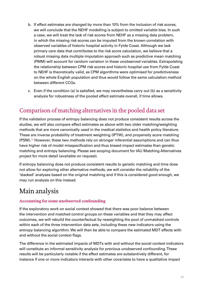- <span id="page-38-0"></span>b. If effect estimates are changed by more than 10% from the inclusion of risk scores, we will conclude that the NEHF modelling is subject to omitted variable bias. In such a case, we will treat the lack of risk scores from NEHF as a missing data problem, in which the missing risk scores can be imputed from the known correlation with observed variables of historic hospital activity in Fylde Coast. Although we lack primary care data that contributes to the risk score calculation, we believe that a robust missing data multiple imputation approach such as predictive mean matching (PMM) will account for random variation in these unobserved variables. Extrapolating the relationship between CPM risk scores and historic hospital use from Fylde Coast to NEHF is theoretically valid, as CPM algorithms were optimised for predictiveness on the whole English population and thus would follow the same calculation method between different CCGs.
- c. Even if the condition (a) is satisfied, we may nevertheless carry out (b) as a sensitivity analysis for robustness of the pooled effect estimate overall, if time allows.

# Comparison of matching alternatives in the pooled data set

If the validation process of entropy balancing does not produce consistent results across the studies, we will also compare effect estimates as above with two older matching/weighting methods that are more canonically used in the medical statistics and health policy literature. These are inverse probability of treatment weighting (IPTW), and propensity score matching (PSM).<sup>72</sup> However, these two methods rely on stronger inferential assumptions and can thus have higher risk of model misspecification and thus biased impact estimates than genetic matching and entropy balancing. Please see scoping document for IAU Matching Alternatives project for more detail (available on request).

If entropy balancing does not produce consistent results to genetic matching and time does not allow for exploring other alternative methods, we will consider the reliability of the 'stacked' analyses based on the original matching and if this is considered good enough, we may run analysis on this instead.

# Main analysis

### **Accounting for some unobserved confounding**

If the exploratory work on social context showed that there was poor balance between the intervention and matched control groups on these variables and that they may affect outcomes, we will rebuild the counterfactual by reweighting the pool of unmatched controls within each of the three intervention data sets, including these new indicators using the entropy balancing algorithm. We will then be able to compare the estimated MDT effects with and without the social context flags.

The difference in the estimated impacts of MDTs with and without the social context indicators will constitute an informal sensitivity analysis for previous unobserved confounding. These results will be particularly notable if the effect estimates are substantively different, for instance if one or more indicators interacts with other covariates to have a qualitative impact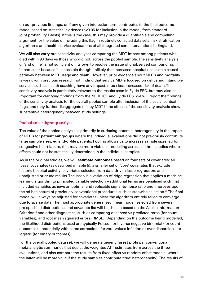<span id="page-39-0"></span>on our previous findings, or if any given interaction term contributes to the final outcome model based on statistical evidence (p<0.05 for inclusion in the model, from standard joint probability F-tests). If this is the case, this may provide a quantifiable and compelling argument for the value of including this flag in routinely collected data sets, risk stratification algorithms and health service evaluations of all integrated care interventions in England.

We will also carry out sensitivity analyses comparing the MDT impact among patients who died within 90 days vs those who did not, across the pooled sample. The sensitivity analysis of 'end of life' is not sufficient on its own to resolve the issue of unobserved confounding, in particular because it is possible though unlikely that increased hospital use is on a causal pathway between MDT usage and death. However, prior evidence about MDTs and mortality is weak, with previous research not finding that service MDTs focused on delivering intangible services such as health coaching have any impact, much less increased risk of death. This sensitivity analysis is particularly relevant to the results seen in Fylde EPC, but may also be important for clarifying findings from the NEHF ICT and Fylde ECS. We will report the findings of the sensitivity analysis for the overall pooled sample after inclusion of the social context flags, and may further disaggregate this by MDT if the effects of the sensitivity analysis show substantive heterogeneity between study settings.

### **Pooled and subgroup analyses**

The value of the pooled analysis is primarily in surfacing potential heterogeneity in the impact of MDTs for **patient subgroups** where the individual evaluations did not previously contribute large sample sizes, eg end-of-life patients. Pooling allows us to increase sample sizes, eg for congestive heart failure, that may be more viable in modelling across all three studies where effects could not be statistically determined in the individual samples.

As in the original studies, we will **estimate outcomes** based on four sets of covariates: all 'base' covariates (as described in Table 5); a smaller set of 'core' covariates that exclude historic hospital activity; covariates selected from data-driven lasso regression; and unadjusted or crude results. The lasso is a variation of ridge regression that applies a machine learning algorithm to principled variable selection – additional terms are penalised such that included variables achieve an optimal and replicable signal-to-noise ratio and improves upon the ad hoc nature of previously conventional procedures such as stepwise selection.<sup>[23](#page-48-2)</sup> The final model will always be adjusted for covariates unless the algorithm entirely failed to converge due to sparse data. The most appropriate generalised linear model, selected from several pre-specified distributions, and covariate list will be chosen based on the Akaike Information Criterion<sup>[24](#page-48-3)</sup> and other diagnostics, such as comparing observed vs predicted zeros (for count variables), and root mean squared errors (RMSE). Depending on the outcome being modelled, the likelihood distributions used are typically Poisson or inverse negative binomial (for count outcomes) – potentially with some corrections for zero-values inflation or over-dispersion – or logistic (for binary outcomes).

For the overall pooled data set, we will generate generic **forest plots** per conventional meta-analytic summaries that depict the weighted ATT estimates from across the three evaluations, and also compare the results from fixed-effect vs random-effect models (where the latter will be more valid if the study samples contribute 'true' heterogeneity). The results of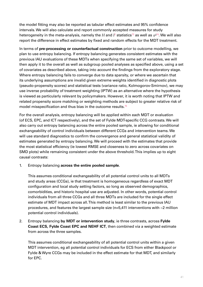the model fitting may also be reported as tabular effect estimates and 95% confidence intervals. We will also calculate and report commonly accepted measures for study heterogeneity in the meta-analysis, namely the  $H$  and  $I^2$  $I^2$  statistics<sup>[73](#page-50-9)</sup> as well as  $\tau^{274}.$  $\tau^{274}.$  $\tau^{274}.$  We will also report the difference in effect estimates by fixed and random effects for the MDT treatment.

In terms of **pre-processing or counterfactual construction** prior to outcome modelling, we plan to use entropy balancing. If entropy balancing generates consistent estimates with the previous IAU evaluations of these MDTs when specifying the same set of variables, we will then apply it to the overall as well as subgroup pooled analyses as specified above, using a set of covariates as described above, taking into account the findings from the exploratory stage. Where entropy balancing fails to converge due to data sparsity, or where we ascertain that its underlying assumptions are invalid given extreme weights identified in diagnostic plots (pseudo-propensity scores) and statistical tests (variance ratio, Kolmogorov-Smirnov), we may use inverse probability of treatment weighting (IPTW) as an alternative where the hypothesis is viewed as particularly relevant by policymakers. However, it is worth noting that IPTW and related propensity score matching or weighting methods are subject to greater relative risk of model misspecification and thus bias in the outcome results. $75$ 

For the overall analysis, entropy balancing will be applied within each MDT or evaluation (of ECS, EPC, and ICT respectively), and the set of Fylde MDT-specific CCG contrasts. We will also carry out entropy balancing across the entire pooled sample, ie allowing for conditional exchangeability of control individuals between different CCGs and intervention teams. We will use standard diagnostics to confirm the convergence and general statistical validity of estimates generated by entropy balancing. We will proceed with the estimates that provide the most statistical efficiency (ie lowest RMSE and closeness to zero across covariates on SMD plots) while remaining consistent under the above threshold. This implies up to eight causal contrasts:

1. Entropy balancing **across the entire pooled sample**.

This assumes conditional exchangeability of all potential control units to all MDTs and study areas (CCGs), ie that treatment is homogeneous regardless of exact MDT configuration and local study setting factors, so long as observed demographics, comorbidities, and historic hospital use are adjusted. In other words, potential control individuals from all three CCGs and all three MDTs are included for the single effect estimate of MDT impact across all. This method is least similar to the previous IAU procedures, and features the largest sample size (n=5,411 interventions with ~2 million potential control individuals).

2. Entropy balancing **by MDT or intervention study**, ie three contrasts, across **Fylde Coast ECS, Fylde Coast EPC and NEHF ICT**, then combined via a weighted estimate from across the three samples.

This assumes conditional exchangeability of all potential control units within a given MDT intervention, eg all potential control individuals for ECS from either Blackpool or Fylde & Wyre CCGs may be included in the effect estimate for that MDT, and similarly for EPC.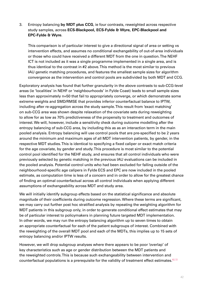### 3. Entropy balancing **by MDT plus CCG**, ie four contrasts, reweighted across respective study samples, across **ECS-Blackpool, ECS-Fylde & Wyre, EPC-Blackpool and EPC-Fylde & Wyre**.

This comparison is of particular interest to give a directional signal of area or setting vs intervention effects, and assumes no conditional exchangebility of out-of-area individuals or those who could have received a different MDT from the one in question. The NEHF ICT is not included as it was a single programme implemented in a single area, and is thus identical to the contrast in #2 above. This method is the most similar to previous IAU genetic matching procedures, and features the smallest sample sizes for algorithm convergence as the intervention and control pools are subdivided by both MDT and CCG.

Exploratory analysis has found that further granularity in the above contrasts to sub-CCG-level areas (ie 'localities' in NEHF or 'neighbourhoods' in Fylde Coast) leads to small sample sizes less than approximately n=50 that fail to appropriately converge, or which demonstrate some extreme weights and SMD/RMSE that provides inferior counterfactual balance to IPTW, including after re-aggregation across the study sample. This result from 'exact matching' on sub-CCG area was shown despite relaxation of the covariate sets during reweighting to allow for as low as 70% predictiveness of the propensity to treatment and outcomes of interest. We will, however, include a sensitivity check during outcome modelling after the entropy balancing of sub-CCG area, by including this as as an interaction term in the main pooled analysis. Entropy balancing will use control pools that are pre-specified to be 2 years around the minimum and maximum ages of all MDT intervention patients, by gender, in the respective MDT studies. This is identical to specifying a fixed caliper or exact match criteria for the age covariate, by gender and study. This procedure is most similar to the potential control pool identified for the NEHF study, and ensures that all control individuals who were previously selected by genetic matching in the previous IAU evaluations can be included in the pooled analysis. Potential control units who had been excluded for falling outside of the neighbourhood-specific age calipers in Fylde ECS and EPC are now included in the pooled estimate, as computation time is less of a concern and in order to allow for the greatest chance of finding an optimal counterfactual across all control individuals when applying different assumptions of exchangeability across MDT and study area.

We will initially identify subgroup effects based on the statistical significance and absolute magnitude of their coefficients during outcome regression. Where these terms are significant, we may carry out further post hoc stratified analysis by repeating the weighting algorithm for MDT patients in this subgroup only, in order to generate conditional effect estimates that may be of particular interest to policymakers in planning future targeted MDT implementation. In other words, we may run the entropy balancing algorithm up to seven times to obtain an appropriate counterfactual for each of the patient subgroups of interest. Combined with the reweighting of the overall MDT pool and each of the MDTs, this implies up to 15 sets of entropy balancing and/or IPTW results.

However, we will drop subgroup analyses where there appears to be poor 'overlap' of key characteristics such as age or gender distribution between the MDT patients and the reweighted controls. This is because such exchangeability between intervention and counterfactual populations is a prerequisite for the validity of treatment effect estimates. $62,72$  $62,72$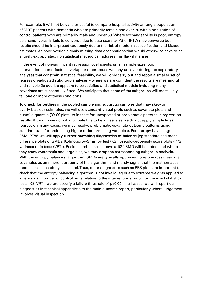For example, it will not be valid or useful to compare hospital activity among a population of MDT patients with dementia who are primarily female and over 70 with a population of control patients who are primarily male and under 50. Where exchangeability is poor, entropy balancing typically fails to converge due to data sparsity. PS or IPTW may converge but results should be interpreted cautiously due to the risk of model misspecification and biased estimates. As poor overlap signals missing data observations that would otherwise have to be entirely extrapolated, no statistical method can address this flaw if it arises.

In the event of non-significant regression coefficients, small sample sizes, poor intervention-counterfactual overlap, or other issues we may uncover during the exploratory analyses that constrain statistical feasibility, we will only carry out and report a smaller set of regression-adjusted subgroup analyses – where we are confident the results are meaningful and reliable (ie overlap appears to be satisfied and statistical models including many covariates are successfully fitted). We anticipate that some of the subgroups will most likely fail one or more of these conditions.

To **check for outliers** in the pooled sample and subgroup samples that may skew or overly bias our estimates, we will use **standard visual plots** such as covariate plots and quantile-quantile ('Q-Q' plots) to inspect for unexpected or problematic patterns in regression results. Although we do not anticipate this to be an issue as we do not apply simple linear regression in any cases, we may resolve problematic covariate-outcome patterns using standard transformations (eg higher-order terms, log variables). For entropy balancing/ PSM/IPTW, we will **apply further matching diagnostics of balance** (eg standardised mean difference plots or SMDs, Kolmogorov-Smirnov test (KS), pseudo-propensity score plots (PPS), variance ratio tests (VRT)). Residual imbalances above a 10% SMD will be noted, and where they show systematic and large bias, we may drop the corresponding subgroup analysis. With the entropy balancing algorithm, SMDs are typically optimised to zero across (nearly) all covariates as an inherent property of the algorithm, and merely signal that the mathematical model has successfully calculated. Thus, other diagnostics such as PPS plots are important to check that the entropy balancing algorithm is not invalid, eg due to extreme weights applied to a very small number of control units relative to the intervention group. For the exact statistical tests (KS, VRT), we pre-specify a failure threshold of p<0.05. In all cases, we will report our diagnostics in technical appendices to the main outcome report, particularly where judgement involves visual inspection.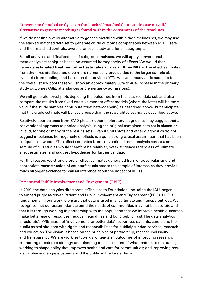### <span id="page-43-0"></span>**Conventional pooled analyses on the 'stacked' matched data set – in case no valid alternative to genetic matching is found within the constraints of the timelines**

If we do not find a valid alternative to genetic matching within the timelines set, we may use the stacked matched data set to generate crude outcome comparisons between MDT users and their matched controls, overall, for each study and for all subgroups.

For all analyses and finalised list of subgroup analyses, we will apply conventional meta-analysis techniques based on assumed homogeneity of effects. We would then generate **estimated treatment effect estimates across all three MDTs**. The effect estimates from the three studies should be more numerically **precise** due to the larger sample size available from pooling, and based on the previous ATTs we can already anticipate that for the overall study pool these will show an approximately 30% to 40% increase in the primary study outcomes (A&E attendances and emergency admissions).

We will generate forest plots depicting the outcomes from the 'stacked' data set, and also compare the results from fixed-effect vs random-effect models (where the latter will be more valid if the study samples contribute 'true' heterogeneity) as described above, but anticipate that this crude estimate will be less precise than the reweighted estimates described above.

Relatively poor balance from SMD plots or other exploratory diagnostics may suggest that a conventional approach to pooled analysis using the original combined data set is biased or invalid, for one or many of the results sets. Even if SMD plots and other diagnostics do not suggest imbalance, homogeneity of effects is a quite strong causal assumption that has been critiqued elsewhere.<sup>[76](#page-50-13)</sup> The effect estimates from conventional meta-analysis across a small sample of n=3 studies would therefore be relatively weak evidence regardless of ultimate effect estimates, and suggest hypotheses for further validation.

For this reason, we strongly prefer effect estimates generated from entropy balancing and appropriate reconstruction of counterfactuals across the sample of interest, as they provide much stronger evidence for causal inference about the impact of MDTs.

### **Patient and Public Involvement and Engagement (PPIE)**

In 2019, the data analytics directorate at The Health Foundation, including the IAU, began to embed purpose-driven Patient and Public Involvement and Engagement (PPIE). PPIE is fundamental in our work to ensure that data is used in a legitimate and transparent way. We recognise that our assumptions around the needs of communities may not be accurate and that it is through working in partnership with the population that we improve health outcomes, make better use of resources, reduce inequalities and build public trust. The data analytics directorate's PPIE vision of 'involvement for better data' recognises patients, carers and the public as stakeholders with rights and responsibilities for publicly-funded services, research and education. The vision is based on the principles of partnership, respect, inclusivity and transparency. We are working towards longer-term outcomes of improving research; supporting directorate strategy and planning to take account of what matters to the public; working to shape policy that improves health and care for communities; and improving how we involve and engage patients and the public in the longer term.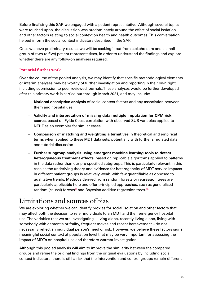<span id="page-44-0"></span>Before finalising this SAP, we engaged with a patient representative. Although several topics were touched upon, the discussion was predominately around the effect of social isolation and other factors relating to social context on health and health outcomes. This conversation helped inform the social context indicators described in the SAP.

Once we have preliminary results, we will be seeking input from stakeholders and a small group of (two to five) patient representatives, in order to understand the findings and explore whether there are any follow-on analyses required.

### **Potential further work**

Over the course of the pooled analysis, we may identify that specific methodological elements or interim analyses may be worthy of further investigation and reporting in their own right, including submission to peer reviewed journals. These analyses would be further developed after this primary work is carried out through March 2021, and may include:

- **National descriptive analysis** of social context factors and any association between them and hospital use
- **Validity and interpretation of missing data multiple imputation for CPM risk scores**, based on Fylde Coast correlation with observed SUS variables applied to NEHF as an exemplar for similar cases
- **Comparison of matching and weighting alternatives** in theoretical and empirical terms when applied to these MDT data sets, potentially with further simulated data and tutorial discussion
- **Further subgroup analysis using emergent machine learning tools to detect heterogeneous treatment effects**, based on replicable algorithms applied to patterns in the data rather than our pre-specified subgroups. This is particularly relevant in this case as the underlying theory and evidence for heterogeneity of MDT service impacts in different patient groups is relatively weak, with few quantifiable as opposed to qualitative trends. Methods derived from random forests or regression trees are particularly applicable here and offer principled approaches, such as generalised random (causal) forests<sup>77</sup> and Bayesian additive regression trees.<sup>[78](#page-50-15)</sup>

# Limitations and sources of bias

We are exploring whether we can identify proxies for social isolation and other factors that may affect both the decision to refer individuals to an MDT and their emergency hospital use. The variables that we are investigating – living alone, recently living alone, living with somebody with dementia or frailty, frequent moves and recent bereavement – do not necessarily reflect an individual person's need or risk. However, we believe these factors signal meaningful social context at population level that may be very important for assessing the impact of MDTs on hospital use and therefore warrant investigation.

Although this pooled analysis will aim to improve the similarity between the compared groups and refine the original findings from the original evaluations by including social context indicators, there is still a risk that the intervention and control groups remain different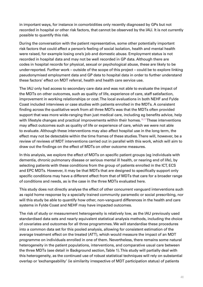in important ways, for instance in comorbidities only recently diagnosed by GPs but not recorded in hospital or other risk factors, that cannot be observed by the IAU. It is not currently possible to quantify this risk.

During the conversation with the patient representative, some other potentially important risk factors that could affect a person's feeling of social isolation, health and mental health were raised, for example losing one's job and domestic abuse. Employment status is not recorded in hospital data and may not be well recorded in GP data. Although there are codes in hospital records for physical, sexual or psychological abuse, these are likely to be under-reported. Further work – outside of the scope of this project – could be to explore linking pseudonymised employment data and GP data to hospital data in order to further understand these factors' effect on MDT referral, health and health care service use.

The IAU only had access to secondary care data and was not able to evaluate the impact of the MDTs on other outcomes, such as quality of life, experience of care, staff satisfaction, improvement in working relationships or cost. The local evaluations in both NEHF and Fylde Coast included interviews or case studies with patients enrolled in the MDTs. A consistent finding across the qualitative work from all three MDTs was that the MDTs often provided support that was more wide-ranging than just medical care, including eg benefits advice, help with lifestyle changes and practical improvements within their homes.<sup>[16](#page-47-16)[,17](#page-47-17)</sup> These interventions may affect outcomes such as quality of life or experience of care, which we were not able to evaluate. Although these interventions may also affect hospital use in the long term, the effect may not be detectable within the time frames of these studies. There will, however, be a review of reviews of MDT interventions carried out in parallel with this work, which will aim to draw out the findings on the effect of MDTs on other outcome measures.

In this analysis, we explore the effect of MDTs on specific patient groups (eg individuals with dementia, chronic pulmonary disease or serious mental ill health, or nearing end of life), by selecting patients with these conditions from the group of patients enrolled in the ICT, ECS and EPC MDTs. However, it may be that MDTs that are designed to specifically support only specific conditions may have a different effect from that of MDTs that care for a broader range of conditions and needs, as is the case in the three MDTs evaluated here.

This study does not directly analyse the effect of other concurrent vanguard interventions such as rapid home response by a specially trained community paramedic or social prescribing, nor will this study be able to quantify how other, non-vanguard differences in the health and care systems in Fylde Coast and NEHF may have impacted outcomes.

The risk of study or measurement heterogeneity is relatively low, as the IAU previously used standardised data sets and nearly equivalent statistical analysis methods, including the choice of covariates and outcomes for all three programmes. We will standardise these procedures into a common data set for this pooled analysis, allowing for consistent estimation of the average treatment effect on the treated (ATT), which would measure the impact of an MDT programme on individuals enrolled in one of them. Nevertheless, there remains some natural heterogeneity in the patient populations, interventions, and comparative usual care between the three MDTs (see detail in Background section, Table 1). This study will partially deal with this heterogeneity, as the continued use of robust statistical techniques will rely on substantial overlap or 'exchangeability' (ie similarity irrespective of MDT participation status) of patients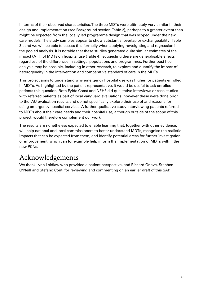<span id="page-46-0"></span>in terms of their observed characteristics. The three MDTs were ultimately very similar in their design and implementation (see Background section, Table 2), perhaps to a greater extent than might be expected from the locally led programme design that was scoped under the new care models. The study samples appear to show substantial overlap or exchangeability (Table 3), and we will be able to assess this formally when applying reweighting and regression in the pooled analysis. It is notable that these studies generated quite similar estimates of the impact (ATT) of MDTs on hospital use (Table 4), suggesting there are generalisable effects regardless of the differences in settings, populations and programmes. Further post hoc analysis may be possible, including in other research, to explore and quantify the impact of heterogeneity in the intervention and comparative standard of care in the MDTs.

This project aims to understand why emergency hospital use was higher for patients enrolled in MDTs. As highlighted by the patient representative, it would be useful to ask enrolled patients this question. Both Fylde Coast and NEHF did qualitative interviews or case studies with referred patients as part of local vanguard evaluations, however these were done prior to the IAU evaluation results and do not specifically explore their use of and reasons for using emergency hospital services. A further qualitative study interviewing patients referred to MDTs about their care needs and their hospital use, although outside of the scope of this project, would therefore complement our work.

The results are nonetheless expected to enable learning that, together with other evidence, will help national and local commissioners to better understand MDTs, recognise the realistic impacts that can be expected from them, and identify potential areas for further investigation or improvement, which can for example help inform the implementation of MDTs within the new PCNs.

# Acknowledgements

We thank Lynn Laidlaw who provided a patient perspective, and Richard Grieve, Stephen O'Neill and Stefano Conti for reviewing and commenting on an earlier draft of this SAP.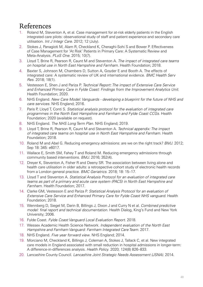# <span id="page-47-0"></span>References

- <span id="page-47-1"></span>1. Roland M, Steventon A, et al. Case management for at-risk elderly patients in the English integrated care pilots: observational study of staff and patient experience and secondary care utilisation. *Int J Integr Care*. 2012; 12 (July).
- <span id="page-47-2"></span>2. Stokes J, Panagioti M, Alam R, Checkland K, Cheraghi-Sohi S and Bower P. Effectiveness of Case Management for 'At Risk' Patients in Primary Care: A Systematic Review and Meta-Analysis. *PLoS One*. 2015; 10(7).
- <span id="page-47-3"></span>3. Lloyd T, Brine R, Pearson R, Caunt M and Steventon A. *The impact of integrated care teams on hospital use in North East Hampshire and Farnham*. Health Foundation; 2018.
- <span id="page-47-4"></span>4. Baxter S, Johnson M, Chambers D, Sutton A, Goyder E and Booth A. The effects of integrated care: A systematic review of UK and international evidence. *BMC Health Serv Res*. 2018; 18(1).
- <span id="page-47-5"></span>5. Vestesson E, Shen J and Pariza P. *Technical Report: The impact of Extensive Care Service and Enhanced Primary Care in Fylde Coast: Findings from the Improvement Analytics Unit*. Health Foundation; 2020.
- <span id="page-47-6"></span>6. NHS England. *New Care Model: Vanguards - developing a blueprint for the future of NHS and care services*. NHS England; 2016.
- <span id="page-47-7"></span>7. Paris P, Lloyd T, Conti S. *Statistical analysis protocol for the evaluation of integrated care programmes in the North East Hampshire and Farnham and Fylde Coast CCGs*. Health Foundation; 2020 (available on request).
- <span id="page-47-8"></span>8. NHS England. *The NHS Long Term Plan*. NHS England; 2019.
- <span id="page-47-9"></span>9. Lloyd T, Brine R, Pearson R, Caunt M and Steventon A. *Technical appendix: The impact of integrated care teams on hospital use in North East Hampshire and Farnham*. Health Foundation; 2018.
- <span id="page-47-10"></span>10. Roland M and Abel G. Reducing emergency admissions: are we on the right track? *BMJ*. 2012; Sep 18: 345: e6017.
- <span id="page-47-11"></span>11. Wallace E, Smith SM, Fahey T and Roland M. Reducing emergency admissions through community based interventions. *BMJ*. 2016; 352(4).
- <span id="page-47-12"></span>12. Dreyer K, Steventon A, Fisher R and Deeny SR. The association between living alone and health care utilisation in older adults: a retrospective cohort study of electronic health records from a London general practice. *BMC Geriatrics*. 2018; 18: 15–17.
- <span id="page-47-13"></span>13. Lloyd T and Steventon A. *Statistical Analysis Protocol for an evaluation of integrated care teams as part of a primary and acute care system (PACS) in North East Hampshire and Farnham*. Health Foundation; 2017.
- <span id="page-47-14"></span>14. Clarke GM, Vestesson E and Pariza P. *Statistical Analysis Protocol for an evaluation of Extensive Care Service and Enhanced Primary Care for Fylde Coast NHS vanguard*. Health Foundation; 2018.
- <span id="page-47-15"></span>15. Wennberg D, Siegel M, Darin B, Billings J, Dixon J and Curry N et al. *Combined predictive model: final report and technical documentation*. Health Dialog, King's Fund and New York University; 2006.
- <span id="page-47-16"></span>16. Fylde Coast. *Fylde Coast Vanguard Local Evaluation Report*. 2018.
- <span id="page-47-17"></span>17. Wessex Academic Health Science Network. *Independent evaluation of the North East Hampshire and Farnham Vanguard: Farnham Integrated Care Team*. 2017.
- <span id="page-47-18"></span>18. NHS England. *Five year forward view*. NHS England; 2014.
- <span id="page-47-19"></span>19. Morciano M, Checkland K, Billings J, Coleman A, Stokes J, Tallack C, et al. New integrated care models in England associated with small reduction in hospital admissions in longer-term: A difference-in-differences analysis. *Health Policy*. 2020; 124(8) 826–833.
- <span id="page-47-20"></span>20. Lancashire County Council. *Lancashire Joint Strategic Needs Assessment (JSNA)*. 2014.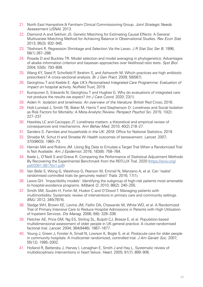- <span id="page-48-0"></span>21. North East Hampshire & Farnham Clinical Commissioning Group. *Joint Strategic Needs Assessment (JSNA)*. 2013.
- <span id="page-48-1"></span>22. Diamond A and Sekhon JS. Genetic Matching for Estimating Causal Effects: A General Multivariate Matching Method for Achieving Balance in Observational Studies. *Rev Econ Stat.*  2013; 95(3): 932–945.
- <span id="page-48-2"></span>23. Tibshirani R. Regression Shrinkage and Selection Via the Lasso. *J R Stat Soc Ser B.* 1996; 58(1) 267–288.
- <span id="page-48-3"></span>24. Posada D and Buckley TR. Model selection and model averaging in phylogenetics: Advantages of akaike information criterion and bayesian approaches over likelihood ratio tests. *Syst Biol.*  2004; 53(5): 793–808.
- <span id="page-48-4"></span>25. Wang KY, Seed P, Schofield P, Ibrahim S, and Ashworth M. Which practices are high antibiotic prescribers? A cross-sectional analysis. *Br J Gen Pract.* 2009; 59(567).
- <span id="page-48-5"></span>26. Georghiou T and Keeble E. *Age UK's Personalised Integrated Care Programme: Evaluation of impact on hospital activity.* Nuffield Trust; 2019.
- <span id="page-48-6"></span>27. Kumpunen S, Edwards N, Georghiou T and Hughes G. Why do evaluations of integrated care not produce the results we expect? *Int J Care Coord.* 2020; 23(1).
- <span id="page-48-7"></span>28. Aiden H. *Isolation and loneliness: An overview of the literature.* British Red Cross; 2016.
- <span id="page-48-8"></span>29. Holt-Lunstad J, Smith TB, Baker M, Harris T and Stephenson D. Loneliness and Social Isolation as Risk Factors for Mortality: A Meta-Analytic Review. *Perspect Psychol Sci.* 2015; 10(2): 227–237.
- <span id="page-48-9"></span>30. Hawkley LC and Cacioppo JT. Loneliness matters: a theoretical and empirical review of consequences and mechanisms. *Ann Behav Med.* 2010; 40(2) 218–27.
- <span id="page-48-10"></span>31. Sanders S. *Families and households in the UK: 2019.* Office for National Statistics; 2019.
- <span id="page-48-11"></span>32. Stroebe M, Schut H and Stroebe W. Health outcomes of bereavement. *Lancet.* 2007; 370(9603): 1960–73.
- <span id="page-48-12"></span>33. Hernán MA and Robins JM. Using Big Data to Emulate a Target Trial When a Randomized Trial Is Not Available. *Am J Epidemiol.* 2016; 183(8): 758–764.
- <span id="page-48-13"></span>34. Keele L, O'Neill S and Grieve R. Comparing the Performance of Statistical Adjustment Methods By Recovering the Experimental Benchmark from the REFLUX Trial. 2020 [\(https://arxiv.org/](https://arxiv.org/pdf/2001.08170v1.pdf) [pdf/2001.08170v1.pdf](https://arxiv.org/pdf/2001.08170v1.pdf))
- <span id="page-48-14"></span>35. Van Belle S, Wong G, Westhorp G, Pearson M, Emmel N, Manzano A, et al. Can 'realist' randomised controlled trials be genuinely realist? *Trials.* 2016; 17(1).
- <span id="page-48-15"></span>36. Lewis GH. 'Impactibility models': Identifying the subgroup of high-risk patients most amenable to hospital-avoidance programs. *Milbank Q.* 2010; 88(2): 240–255.
- <span id="page-48-16"></span>37. Smith SM, Soubhi H, Fortin M, Hudon C and O'Dowd T. Managing patients with multimorbidity: Systematic review of interventions in primary care and community settings. *BMJ.* 2012; 345(7874).
- <span id="page-48-17"></span>38. Sledge WH, Brown KE, Levine JM, Fiellin DA, Chawarski M, White WD, et al. A Randomized Trial of Primary Intensive Care to Reduce Hospital Admissions in Patients with High Utilization of Inpatient Services. *Dis Manag.* 2006; 9(6): 328–338.
- <span id="page-48-18"></span>39. Fletcher AE, Price GM, Ng ES, Stirling SL, Bulpitt CJ, Breeze E, et al. Population-based multidimensional assessment of older people in UK general practice: A cluster-randomised factorial trial. *Lancet.* 2004; 364(9446): 1667–1677.
- <span id="page-48-19"></span>40. Young J, Green J, Forster A, Small N, Lowson K, Bogle S, et al. Postacute care for older people in community hospitals: A multicenter randomized, controlled trial. *J Am Geriatr Soc.* 2007; 55(12): 1995–2002.
- <span id="page-48-20"></span>41. Holland R, Battersby J, Harvey I, Lenaghan E, Smith J and Hay L. Systematic review of multidisciplinary interventions in heart failure. *Heart.* 2005; 91(7): 899–906.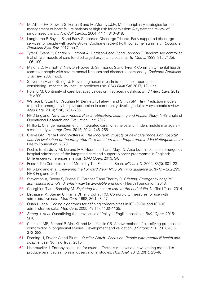- <span id="page-49-0"></span>42. McAlister FA, Stewart S, Ferrua S and McMurray JJJV. Multidisciplinary strategies for the management of heart failure patients at high risk for admission: A systematic review of randomized trials. *J Am Coll Cardiol.* 2004; 44(4): 810–819.
- <span id="page-49-1"></span>43. Langhorne P, Baylan S and Early Supported Discharge Trialists. Early supported discharge services for people with acute stroke (Cochrane review) [with consumer summary]. *Cochrane Database Syst Rev.* 2017; no.7.
- <span id="page-49-2"></span>44. Tyrer P, Evans K, Gandhi N, Lamont A, Harrison-Read P and Johnson T. Randomised controlled trial of two models of care for discharged psychiatric patients. *Br Med J.* 1998; 316(7125): 106–109.
- <span id="page-49-3"></span>45. Malone D, Marriott S, Newton-Howes G, Simmonds S and Tyrer P. Community mental health teams for people with severe mental illnesses and disordered personality. *Cochrane Database Syst Rev.* 2007; no.3.
- <span id="page-49-4"></span>46. Steventon A and Billings J. Preventing hospital readmissions: the importance of considering 'impactibility' not just predicted risk. *BMJ Qual Saf.* 2017; 12(June).
- <span id="page-49-5"></span>47. Roland M. Continuity of care: betrayed values or misplaced nostalgia. *Int J Integr Care.* 2012; 12: e200.
- <span id="page-49-6"></span>48. Wallace E, Stuart E, Vaughan N, Bennett K, Fahey T and Smith SM. Risk Prediction models to predict emergency hospital admission in community-dwelling adults: A systematic review. *Med Care.* 2014; 52(8): 751–765.
- <span id="page-49-7"></span>49. NHS England. *New care models Risk stratification: Learning and Impact Study.* NHS England Operational Research and Evaluation Unit; 2017
- <span id="page-49-8"></span>50. Phillip L. Change management in integrated care: what helps and hinders middle managers – a case study. *J Integr Care.* 2012; 20(4): 246–256.
- <span id="page-49-9"></span>51. Clarke GM, Pariza P and Wolters A. *The long-term impacts of new care models on hospital use: An evaluation of the Integrated Care Transformation Programme in Mid-Nottinghamshire.*  Health Foundation; 2020.
- <span id="page-49-10"></span>52. Keeble E, Bardsley M, Durand MA, Hoomans T and Mays N. Area level impacts on emergency hospital admissions of the integrated care and support pioneer programme in England: Difference-in-differences analysis. *BMJ Open*. 2019; 9(8).
- <span id="page-49-11"></span>53. Fries J. The Compression of Morbidity The Finite Life Span. *Milbank Q*. 2005; 83(3): 801–23.
- <span id="page-49-12"></span>54. NHS England et al. *Delivering the Forward View: NHS planning guidance 2016/17 – 2020/21.*  NHS England; 2015.
- <span id="page-49-13"></span>55. Steventon A, Deeny S, Friebel R, Gardner T and Thorlby R. *Briefing: Emergency hospital*  admissions in England: which may be avoidable and how? Health Foundation; 2018.
- <span id="page-49-14"></span>56. Georghiou T and Bardsley M. *Exploring the cost of care at the end of life.* Nuffield Trust; 2014.
- <span id="page-49-15"></span>57. Elixhauser A, Steiner C, Harris DR and Coffey RM. Comorbidity measures for use with administrative data. *Med Care.* 1998; 36(1): 8–27.
- <span id="page-49-16"></span>58. Quan H, et al. Coding algorithms for defining comorbidities in ICD-9-CM and ICD-10 administrative data. *Med Care.* 2005; 43(11): 1130–1139.
- <span id="page-49-17"></span>59. *Soong J, et al.* Quantifying the prevalence of frailty in English hospitals. *BMJ Open.* 2015; 5(10).
- <span id="page-49-18"></span>60. Charlson ME, Pompei P, Ales KL and MacKenzie CR. A new method of classifying prognostic comorbidity in longitudinal studies: Development and validation. *J Chronic Dis.* 1987; 40(5): 373–383.
- <span id="page-49-19"></span>61. Dorning H, Davies A and Blunt I. *Quality Watch - Focus on: People with mental ill health and hospital use.* Nuffield Trust; 2015.
- <span id="page-49-20"></span>62. Hainmueller J. Entropy balancing for causal effects: A multivariate reweighting method to produce balanced samples in observational studies. *Polit Anal.* 2012; 20(1): 25–46.